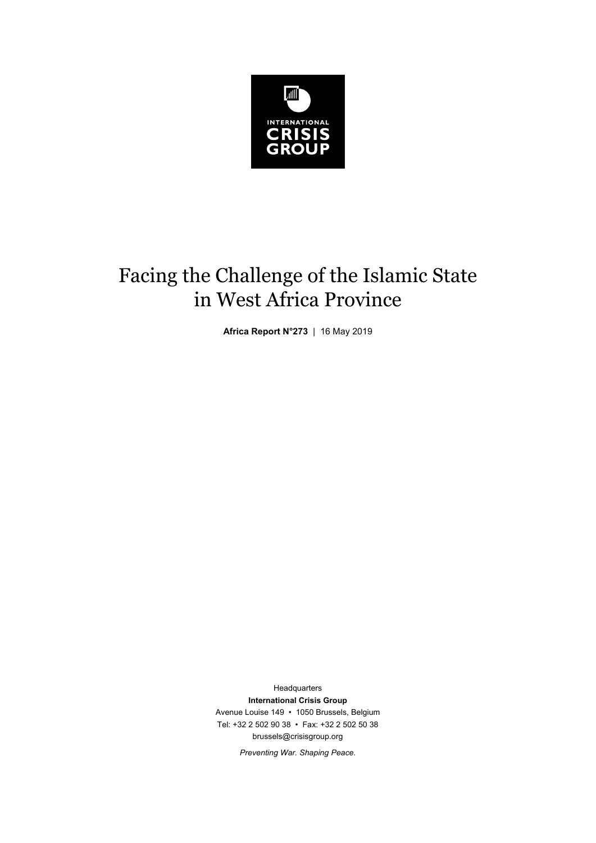

# Facing the Challenge of the Islamic State in West Africa Province

**Africa Report N°273** | 16 May 2019

**Headquarters International Crisis Group**  Avenue Louise 149 • 1050 Brussels, Belgium Tel: +32 2 502 90 38 • Fax: +32 2 502 50 38 brussels@crisisgroup.org

*Preventing War. Shaping Peace.*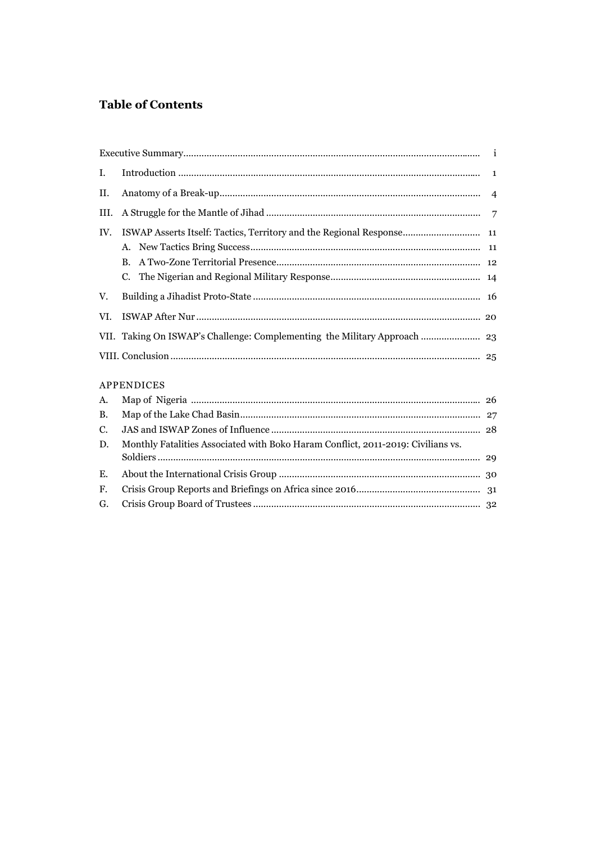# **Table of Contents**

| I.         |                                                                                  |  |
|------------|----------------------------------------------------------------------------------|--|
| II.        |                                                                                  |  |
| III.       |                                                                                  |  |
| IV.        | ISWAP Asserts Itself: Tactics, Territory and the Regional Response 11            |  |
|            |                                                                                  |  |
|            | $\mathbf{B}$ .                                                                   |  |
|            |                                                                                  |  |
| V.         |                                                                                  |  |
| VI.        |                                                                                  |  |
|            | VII. Taking On ISWAP's Challenge: Complementing the Military Approach  23        |  |
|            |                                                                                  |  |
| APPENDICES |                                                                                  |  |
| A.         |                                                                                  |  |
| <b>B.</b>  |                                                                                  |  |
| C.         |                                                                                  |  |
| D.         | Monthly Fatalities Associated with Boko Haram Conflict, 2011-2019: Civilians vs. |  |
|            |                                                                                  |  |
| E.         |                                                                                  |  |
| F.         |                                                                                  |  |
| G.         |                                                                                  |  |
|            |                                                                                  |  |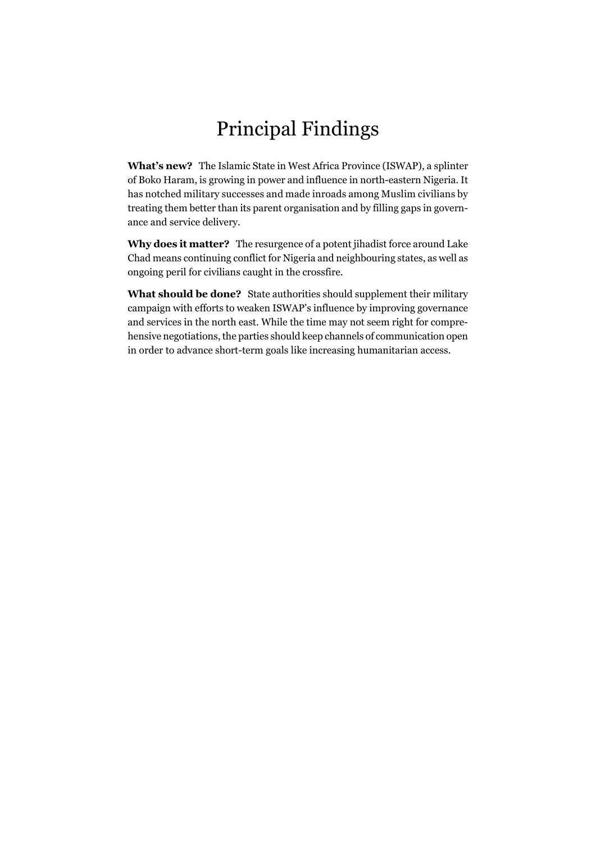# Principal Findings

**What's new?** The Islamic State in West Africa Province (ISWAP), a splinter of Boko Haram, is growing in power and influence in north-eastern Nigeria. It has notched military successes and made inroads among Muslim civilians by treating them better than its parent organisation and by filling gaps in governance and service delivery.

**Why does it matter?** The resurgence of a potent jihadist force around Lake Chad means continuing conflict for Nigeria and neighbouring states, as well as ongoing peril for civilians caught in the crossfire.

**What should be done?** State authorities should supplement their military campaign with efforts to weaken ISWAP's influence by improving governance and services in the north east. While the time may not seem right for comprehensive negotiations, the parties should keep channels of communication open in order to advance short-term goals like increasing humanitarian access.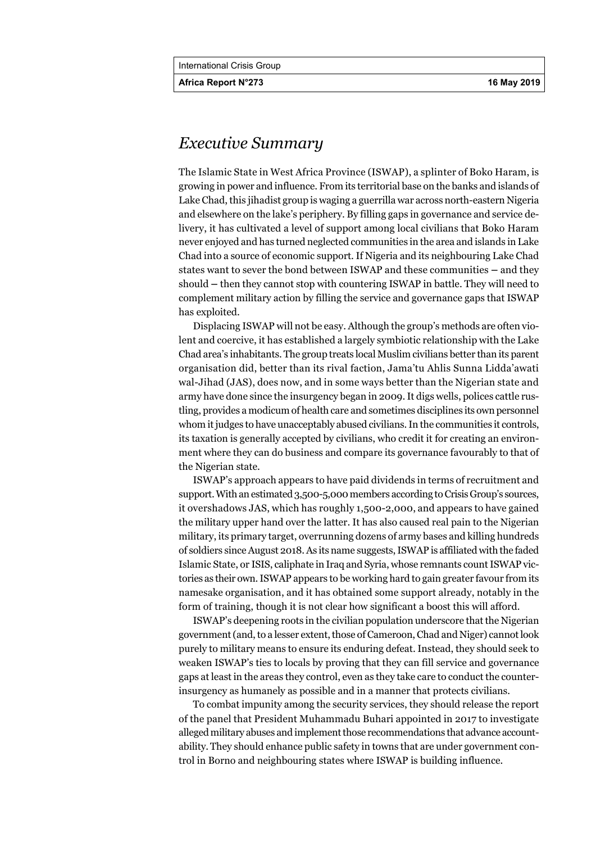**Africa Report N°273 16 May 2019** 

# *Executive Summary*

The Islamic State in West Africa Province (ISWAP), a splinter of Boko Haram, is growing in power and influence. From its territorial base on the banks and islands of Lake Chad, this jihadist group is waging a guerrilla war across north-eastern Nigeria and elsewhere on the lake's periphery. By filling gaps in governance and service delivery, it has cultivated a level of support among local civilians that Boko Haram never enjoyed and has turned neglected communities in the area and islands in Lake Chad into a source of economic support. If Nigeria and its neighbouring Lake Chad states want to sever the bond between ISWAP and these communities **–** and they should **–** then they cannot stop with countering ISWAP in battle. They will need to complement military action by filling the service and governance gaps that ISWAP has exploited.

Displacing ISWAP will not be easy. Although the group's methods are often violent and coercive, it has established a largely symbiotic relationship with the Lake Chad area's inhabitants. The group treats local Muslim civilians better than its parent organisation did, better than its rival faction, Jama'tu Ahlis Sunna Lidda'awati wal-Jihad (JAS), does now, and in some ways better than the Nigerian state and army have done since the insurgency began in 2009. It digs wells, polices cattle rustling, provides a modicum of health care and sometimes disciplines its own personnel whom it judges to have unacceptably abused civilians. In the communities it controls, its taxation is generally accepted by civilians, who credit it for creating an environment where they can do business and compare its governance favourably to that of the Nigerian state.

ISWAP's approach appears to have paid dividends in terms of recruitment and support. With an estimated 3,500-5,000 members according to Crisis Group's sources, it overshadows JAS, which has roughly 1,500-2,000, and appears to have gained the military upper hand over the latter. It has also caused real pain to the Nigerian military, its primary target, overrunning dozens of army bases and killing hundreds of soldiers since August 2018. As its name suggests, ISWAP is affiliated with the faded Islamic State, or ISIS, caliphate in Iraq and Syria, whose remnants count ISWAP victories as their own. ISWAP appears to be working hard to gain greater favour from its namesake organisation, and it has obtained some support already, notably in the form of training, though it is not clear how significant a boost this will afford.

ISWAP's deepening roots in the civilian population underscore that the Nigerian government (and, to a lesser extent, those of Cameroon, Chad and Niger) cannot look purely to military means to ensure its enduring defeat. Instead, they should seek to weaken ISWAP's ties to locals by proving that they can fill service and governance gaps at least in the areas they control, even as they take care to conduct the counterinsurgency as humanely as possible and in a manner that protects civilians.

To combat impunity among the security services, they should release the report of the panel that President Muhammadu Buhari appointed in 2017 to investigate alleged military abuses and implement those recommendations that advance accountability. They should enhance public safety in towns that are under government control in Borno and neighbouring states where ISWAP is building influence.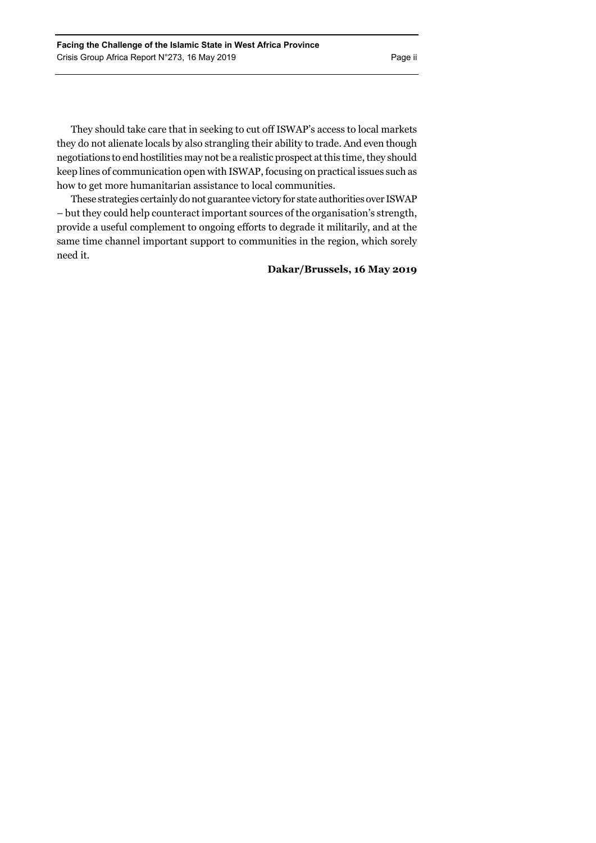They should take care that in seeking to cut off ISWAP's access to local markets they do not alienate locals by also strangling their ability to trade. And even though negotiations to end hostilities may not be a realistic prospect at this time, they should keep lines of communication open with ISWAP, focusing on practical issues such as how to get more humanitarian assistance to local communities.

These strategies certainly do not guarantee victory for state authorities over ISWAP – but they could help counteract important sources of the organisation's strength, provide a useful complement to ongoing efforts to degrade it militarily, and at the same time channel important support to communities in the region, which sorely need it.

### **Dakar/Brussels, 16 May 2019**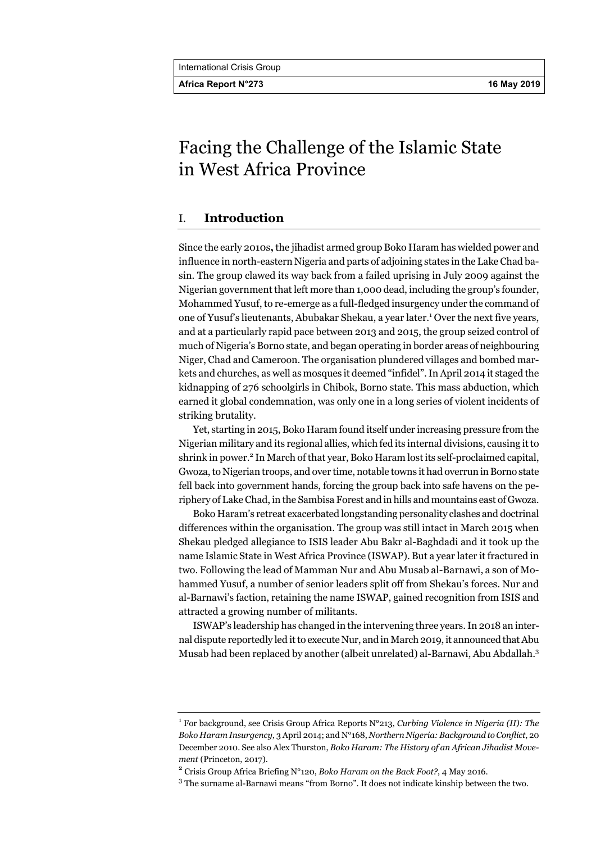Africa Report N°273 **16 May 2019** 

# Facing the Challenge of the Islamic State in West Africa Province

# I. **Introduction**

Since the early 2010s**,** the jihadist armed group Boko Haram has wielded power and influence in north-eastern Nigeria and parts of adjoining states in the Lake Chad basin. The group clawed its way back from a failed uprising in July 2009 against the Nigerian government that left more than 1,000 dead, including the group's founder, Mohammed Yusuf, to re-emerge as a full-fledged insurgency under the command of one of Yusuf's lieutenants, Abubakar Shekau, a year later.<sup>1</sup> Over the next five years, and at a particularly rapid pace between 2013 and 2015, the group seized control of much of Nigeria's Borno state, and began operating in border areas of neighbouring Niger, Chad and Cameroon. The organisation plundered villages and bombed markets and churches, as well as mosques it deemed "infidel". In April 2014 it staged the kidnapping of 276 schoolgirls in Chibok, Borno state. This mass abduction, which earned it global condemnation, was only one in a long series of violent incidents of striking brutality.

Yet, starting in 2015, Boko Haram found itself under increasing pressure from the Nigerian military and its regional allies, which fed its internal divisions, causing it to shrink in power.<sup>2</sup> In March of that year, Boko Haram lost its self-proclaimed capital, Gwoza, to Nigerian troops, and over time, notable towns it had overrun in Borno state fell back into government hands, forcing the group back into safe havens on the periphery of Lake Chad, in the Sambisa Forest and in hills and mountains east of Gwoza.

Boko Haram's retreat exacerbated longstanding personality clashes and doctrinal differences within the organisation. The group was still intact in March 2015 when Shekau pledged allegiance to ISIS leader Abu Bakr al-Baghdadi and it took up the name Islamic State in West Africa Province (ISWAP). But a year later it fractured in two. Following the lead of Mamman Nur and Abu Musab al-Barnawi, a son of Mohammed Yusuf, a number of senior leaders split off from Shekau's forces. Nur and al-Barnawi's faction, retaining the name ISWAP, gained recognition from ISIS and attracted a growing number of militants.

ISWAP's leadership has changed in the intervening three years. In 2018 an internal dispute reportedly led it to execute Nur, and in March 2019, it announced that Abu Musab had been replaced by another (albeit unrelated) al-Barnawi, Abu Abdallah.3

<sup>&</sup>lt;sup>1</sup> For background, see Crisis Group Africa Reports N°213, *Curbing Violence in Nigeria (II): The Boko Haram Insurgency*, 3 April 2014; and N°168, *Northern Nigeria: Background to Conflict*, 20 December 2010. See also Alex Thurston, *Boko Haram: The History of an African Jihadist Movement* (Princeton, 2017).

Crisis Group Africa Briefing N°120, *Boko Haram on the Back Foot?*, 4 May 2016.

<sup>&</sup>lt;sup>3</sup> The surname al-Barnawi means "from Borno". It does not indicate kinship between the two.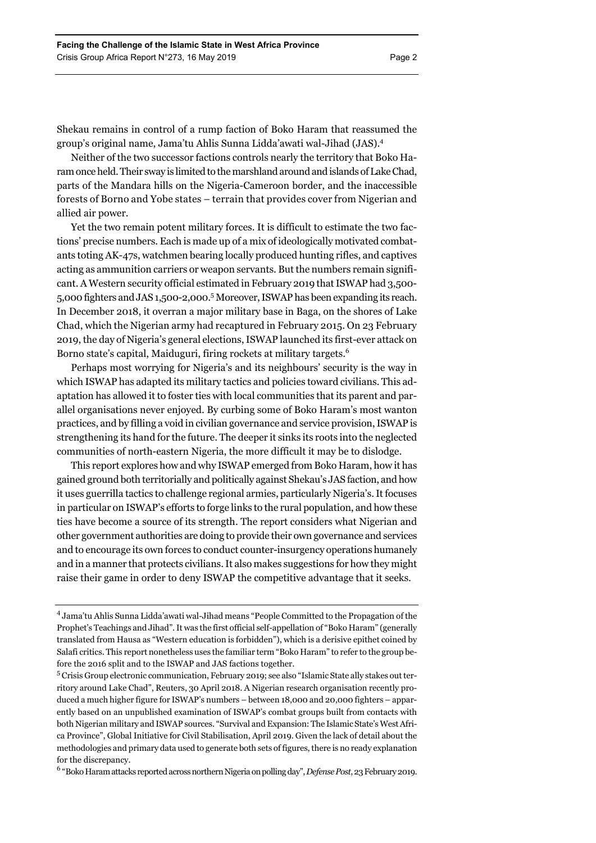Shekau remains in control of a rump faction of Boko Haram that reassumed the group's original name, Jama'tu Ahlis Sunna Lidda'awati wal-Jihad (JAS).4

Neither of the two successor factions controls nearly the territory that Boko Haram once held. Their sway is limited to the marshland around and islands of Lake Chad, parts of the Mandara hills on the Nigeria-Cameroon border, and the inaccessible forests of Borno and Yobe states – terrain that provides cover from Nigerian and allied air power.

Yet the two remain potent military forces. It is difficult to estimate the two factions' precise numbers. Each is made up of a mix of ideologically motivated combatants toting AK-47s, watchmen bearing locally produced hunting rifles, and captives acting as ammunition carriers or weapon servants. But the numbers remain significant. A Western security official estimated in February 2019 that ISWAP had 3,500- 5,000 fighters and JAS 1,500-2,000.<sup>5</sup> Moreover, ISWAP has been expanding its reach. In December 2018, it overran a major military base in Baga, on the shores of Lake Chad, which the Nigerian army had recaptured in February 2015. On 23 February 2019, the day of Nigeria's general elections, ISWAP launched its first-ever attack on Borno state's capital, Maiduguri, firing rockets at military targets.<sup>6</sup>

Perhaps most worrying for Nigeria's and its neighbours' security is the way in which ISWAP has adapted its military tactics and policies toward civilians. This adaptation has allowed it to foster ties with local communities that its parent and parallel organisations never enjoyed. By curbing some of Boko Haram's most wanton practices, and by filling a void in civilian governance and service provision, ISWAP is strengthening its hand for the future. The deeper it sinks its roots into the neglected communities of north-eastern Nigeria, the more difficult it may be to dislodge.

This report explores how and why ISWAP emerged from Boko Haram, how it has gained ground both territorially and politically against Shekau's JAS faction, and how it uses guerrilla tactics to challenge regional armies, particularly Nigeria's. It focuses in particular on ISWAP's efforts to forge links to the rural population, and how these ties have become a source of its strength. The report considers what Nigerian and other government authorities are doing to provide their own governance and services and to encourage its own forces to conduct counter-insurgency operations humanely and in a manner that protects civilians. It also makes suggestions for how they might raise their game in order to deny ISWAP the competitive advantage that it seeks.

6 "Boko Haram attacks reported across northern Nigeria on polling day", *Defense Post*, 23 February 2019.

<sup>4</sup> Jama'tu Ahlis Sunna Lidda'awati wal-Jihad means "People Committed to the Propagation of the Prophet's Teachings and Jihad". It was the first official self-appellation of "Boko Haram" (generally translated from Hausa as "Western education is forbidden"), which is a derisive epithet coined by Salafi critics. This report nonetheless uses the familiar term "Boko Haram" to refer to the group before the 2016 split and to the ISWAP and JAS factions together.

<sup>5</sup> Crisis Group electronic communication, February 2019; see also "Islamic State ally stakes out territory around Lake Chad", Reuters, 30 April 2018. A Nigerian research organisation recently produced a much higher figure for ISWAP's numbers – between 18,000 and 20,000 fighters – apparently based on an unpublished examination of ISWAP's combat groups built from contacts with both Nigerian military and ISWAP sources. "Survival and Expansion: The Islamic State's West Africa Province", Global Initiative for Civil Stabilisation, April 2019. Given the lack of detail about the methodologies and primary data used to generate both sets of figures, there is no ready explanation for the discrepancy.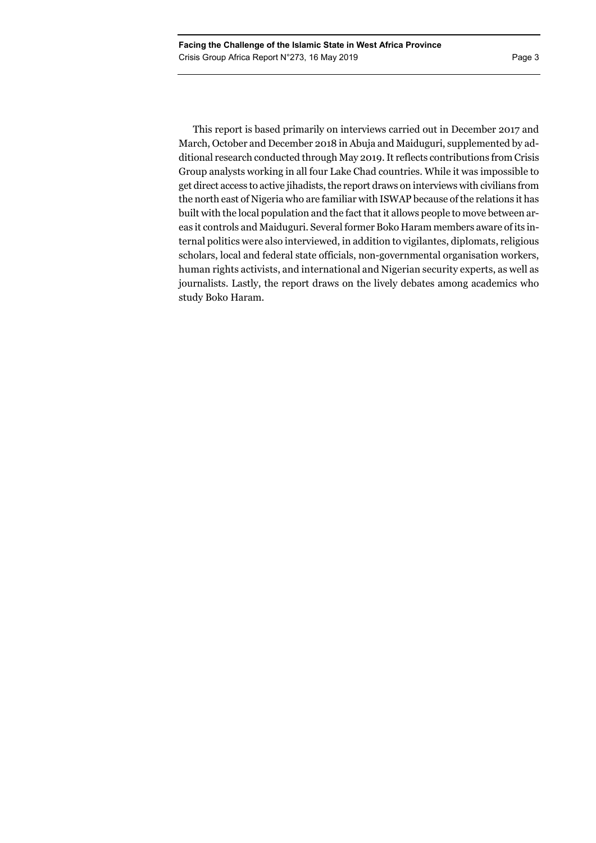This report is based primarily on interviews carried out in December 2017 and March, October and December 2018 in Abuja and Maiduguri, supplemented by additional research conducted through May 2019. It reflects contributions from Crisis Group analysts working in all four Lake Chad countries. While it was impossible to get direct access to active jihadists, the report draws on interviews with civilians from the north east of Nigeria who are familiar with ISWAP because of the relations it has built with the local population and the fact that it allows people to move between areas it controls and Maiduguri. Several former Boko Haram members aware of its internal politics were also interviewed, in addition to vigilantes, diplomats, religious scholars, local and federal state officials, non-governmental organisation workers, human rights activists, and international and Nigerian security experts, as well as journalists. Lastly, the report draws on the lively debates among academics who study Boko Haram.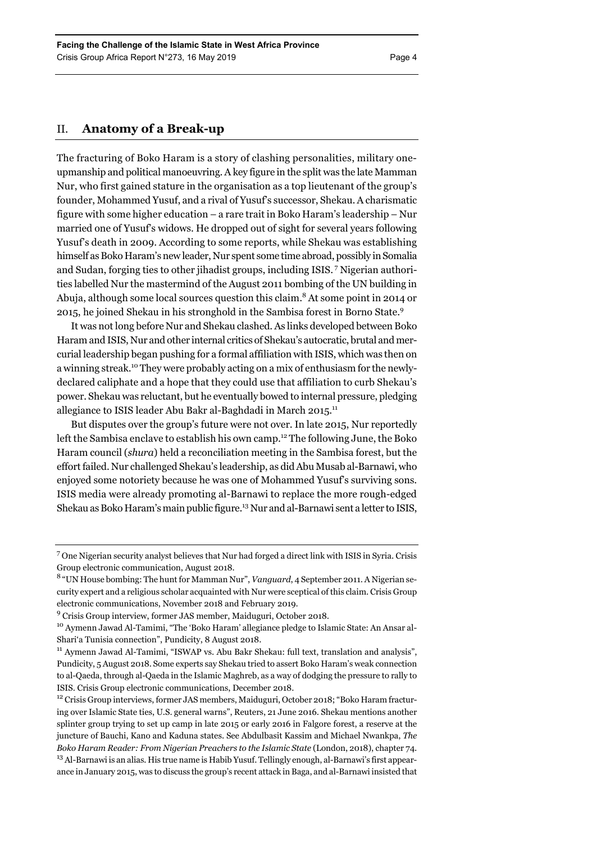# II. **Anatomy of a Break-up**

The fracturing of Boko Haram is a story of clashing personalities, military oneupmanship and political manoeuvring. A key figure in the split was the late Mamman Nur, who first gained stature in the organisation as a top lieutenant of the group's founder, Mohammed Yusuf, and a rival of Yusuf's successor, Shekau. A charismatic figure with some higher education – a rare trait in Boko Haram's leadership – Nur married one of Yusuf's widows. He dropped out of sight for several years following Yusuf's death in 2009. According to some reports, while Shekau was establishing himself as Boko Haram's new leader, Nur spent some time abroad, possibly in Somalia and Sudan, forging ties to other jihadist groups, including ISIS. 7 Nigerian authorities labelled Nur the mastermind of the August 2011 bombing of the UN building in Abuja, although some local sources question this claim.<sup>8</sup> At some point in 2014 or 2015, he joined Shekau in his stronghold in the Sambisa forest in Borno State.<sup>9</sup>

It was not long before Nur and Shekau clashed. As links developed between Boko Haram and ISIS, Nur and other internal critics of Shekau's autocratic, brutal and mercurial leadership began pushing for a formal affiliation with ISIS, which was then on a winning streak.10 They were probably acting on a mix of enthusiasm for the newlydeclared caliphate and a hope that they could use that affiliation to curb Shekau's power. Shekau was reluctant, but he eventually bowed to internal pressure, pledging allegiance to ISIS leader Abu Bakr al-Baghdadi in March 2015.<sup>11</sup>

But disputes over the group's future were not over. In late 2015, Nur reportedly left the Sambisa enclave to establish his own camp.<sup>12</sup> The following June, the Boko Haram council (*shura*) held a reconciliation meeting in the Sambisa forest, but the effort failed. Nur challenged Shekau's leadership, as did Abu Musab al-Barnawi, who enjoyed some notoriety because he was one of Mohammed Yusuf's surviving sons. ISIS media were already promoting al-Barnawi to replace the more rough-edged Shekau as Boko Haram's main public figure.13 Nur and al-Barnawi sent a letter to ISIS,

 $7$  One Nigerian security analyst believes that Nur had forged a direct link with ISIS in Syria. Crisis Group electronic communication, August 2018.

<sup>&</sup>lt;sup>8</sup> "UN House bombing: The hunt for Mamman Nur", *Vanguard*, 4 September 2011. A Nigerian security expert and a religious scholar acquainted with Nur were sceptical of this claim. Crisis Group electronic communications, November 2018 and February 2019.

<sup>&</sup>lt;sup>9</sup> Crisis Group interview, former JAS member, Maiduguri, October 2018.

<sup>&</sup>lt;sup>10</sup> Aymenn Jawad Al-Tamimi, "The 'Boko Haram' allegiance pledge to Islamic State: An Ansar al-Shari'a Tunisia connection", Pundicity, 8 August 2018.

<sup>11</sup> Aymenn Jawad Al-Tamimi, "ISWAP vs. Abu Bakr Shekau: full text, translation and analysis", Pundicity, 5 August 2018. Some experts say Shekau tried to assert Boko Haram's weak connection to al-Qaeda, through al-Qaeda in the Islamic Maghreb, as a way of dodging the pressure to rally to ISIS. Crisis Group electronic communications, December 2018.

<sup>&</sup>lt;sup>12</sup> Crisis Group interviews, former JAS members, Maiduguri, October 2018; "Boko Haram fracturing over Islamic State ties, U.S. general warns", Reuters, 21 June 2016. Shekau mentions another splinter group trying to set up camp in late 2015 or early 2016 in Falgore forest, a reserve at the juncture of Bauchi, Kano and Kaduna states. See Abdulbasit Kassim and Michael Nwankpa, *The Boko Haram Reader: From Nigerian Preachers to the Islamic State* (London, 2018), chapter 74. <sup>13</sup> Al-Barnawi is an alias. His true name is Habib Yusuf. Tellingly enough, al-Barnawi's first appearance in January 2015, was to discuss the group's recent attack in Baga, and al-Barnawi insisted that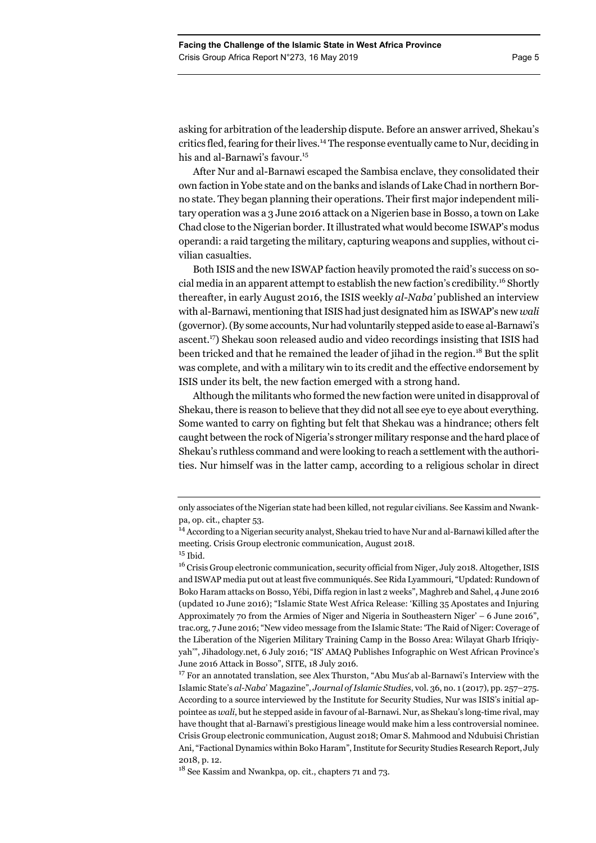asking for arbitration of the leadership dispute. Before an answer arrived, Shekau's critics fled, fearing for their lives.<sup>14</sup> The response eventually came to Nur, deciding in his and al-Barnawi's favour.<sup>15</sup>

After Nur and al-Barnawi escaped the Sambisa enclave, they consolidated their own faction in Yobe state and on the banks and islands of Lake Chad in northern Borno state. They began planning their operations. Their first major independent military operation was a 3 June 2016 attack on a Nigerien base in Bosso, a town on Lake Chad close to the Nigerian border. It illustrated what would become ISWAP's modus operandi: a raid targeting the military, capturing weapons and supplies, without civilian casualties.

Both ISIS and the new ISWAP faction heavily promoted the raid's success on social media in an apparent attempt to establish the new faction's credibility.<sup>16</sup> Shortly thereafter, in early August 2016, the ISIS weekly *al-Naba'* published an interview with al-Barnawi, mentioning that ISIS had just designated him as ISWAP's new *wali* (governor). (By some accounts, Nur had voluntarily stepped aside to ease al-Barnawi's ascent.17) Shekau soon released audio and video recordings insisting that ISIS had been tricked and that he remained the leader of jihad in the region.<sup>18</sup> But the split was complete, and with a military win to its credit and the effective endorsement by ISIS under its belt, the new faction emerged with a strong hand.

Although the militants who formed the new faction were united in disapproval of Shekau, there is reason to believe that they did not all see eye to eye about everything. Some wanted to carry on fighting but felt that Shekau was a hindrance; others felt caught between the rock of Nigeria's stronger military response and the hard place of Shekau's ruthless command and were looking to reach a settlement with the authorities. Nur himself was in the latter camp, according to a religious scholar in direct

only associates of the Nigerian state had been killed, not regular civilians. See Kassim and Nwankpa, op. cit., chapter 53.

<sup>&</sup>lt;sup>14</sup> According to a Nigerian security analyst, Shekau tried to have Nur and al-Barnawi killed after the meeting. Crisis Group electronic communication, August 2018.

 $15$  Ibid.

<sup>&</sup>lt;sup>16</sup> Crisis Group electronic communication, security official from Niger, July 2018. Altogether, ISIS and ISWAP media put out at least five communiqués. See Rida Lyammouri, "Updated: Rundown of Boko Haram attacks on Bosso, Yébi, Diffa region in last 2 weeks", Maghreb and Sahel, 4 June 2016 (updated 10 June 2016); "Islamic State West Africa Release: 'Killing 35 Apostates and Injuring Approximately 70 from the Armies of Niger and Nigeria in Southeastern Niger' – 6 June 2016", trac.org, 7 June 2016; "New video message from the Islamic State: 'The Raid of Niger: Coverage of the Liberation of the Nigerien Military Training Camp in the Bosso Area: Wilayat Gharb Ifriqiyyah'", Jihadology.net, 6 July 2016; "IS' AMAQ Publishes Infographic on West African Province's June 2016 Attack in Bosso", SITE, 18 July 2016.

 $17$  For an annotated translation, see Alex Thurston, "Abu Mus'ab al-Barnawi's Interview with the Islamic State's *al-Naba*' Magazine", *Journal of Islamic Studies*, vol. 36, no. 1 (2017), pp. 257–275. According to a source interviewed by the Institute for Security Studies, Nur was ISIS's initial appointee as *wali*, but he stepped aside in favour of al-Barnawi. Nur, as Shekau's long-time rival, may have thought that al-Barnawi's prestigious lineage would make him a less controversial nominee. Crisis Group electronic communication, August 2018; Omar S. Mahmood and Ndubuisi Christian Ani, "Factional Dynamics within Boko Haram", Institute for Security Studies Research Report, July 2018, p. 12.

<sup>18</sup> See Kassim and Nwankpa, op. cit., chapters 71 and 73.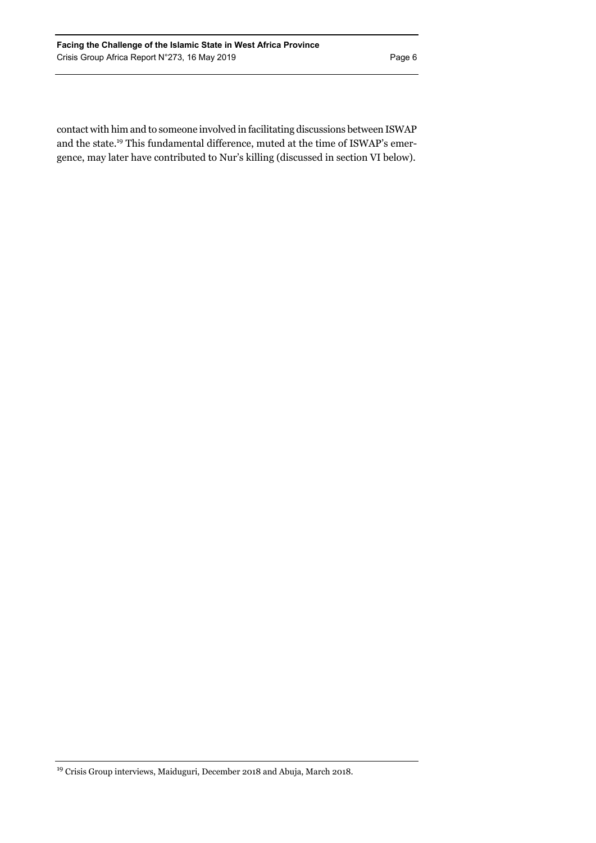contact with him and to someone involved in facilitating discussions between ISWAP and the state.19 This fundamental difference, muted at the time of ISWAP's emergence, may later have contributed to Nur's killing (discussed in section VI below).

<sup>19</sup> Crisis Group interviews, Maiduguri, December 2018 and Abuja, March 2018.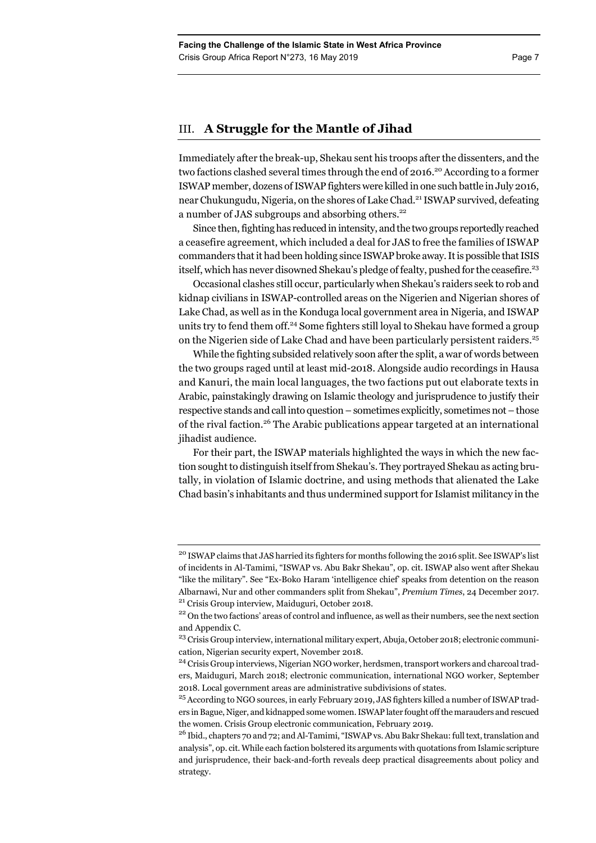# III. **A Struggle for the Mantle of Jihad**

Immediately after the break-up, Shekau sent his troops after the dissenters, and the two factions clashed several times through the end of 2016.<sup>20</sup> According to a former ISWAP member, dozens of ISWAP fighters were killed in one such battle in July 2016, near Chukungudu, Nigeria, on the shores of Lake Chad.<sup>21</sup> ISWAP survived, defeating a number of JAS subgroups and absorbing others.<sup>22</sup>

Since then, fighting has reduced in intensity, and the two groups reportedly reached a ceasefire agreement, which included a deal for JAS to free the families of ISWAP commanders that it had been holding since ISWAP broke away. It is possible that ISIS itself, which has never disowned Shekau's pledge of fealty, pushed for the ceasefire.<sup>23</sup>

Occasional clashes still occur, particularly when Shekau's raiders seek to rob and kidnap civilians in ISWAP-controlled areas on the Nigerien and Nigerian shores of Lake Chad, as well as in the Konduga local government area in Nigeria, and ISWAP units try to fend them off.<sup>24</sup> Some fighters still loyal to Shekau have formed a group on the Nigerien side of Lake Chad and have been particularly persistent raiders.25

While the fighting subsided relatively soon after the split, a war of words between the two groups raged until at least mid-2018. Alongside audio recordings in Hausa and Kanuri, the main local languages, the two factions put out elaborate texts in Arabic, painstakingly drawing on Islamic theology and jurisprudence to justify their respective stands and call into question – sometimes explicitly, sometimes not – those of the rival faction.<sup>26</sup> The Arabic publications appear targeted at an international jihadist audience.

For their part, the ISWAP materials highlighted the ways in which the new faction sought to distinguish itself from Shekau's. They portrayed Shekau as acting brutally, in violation of Islamic doctrine, and using methods that alienated the Lake Chad basin's inhabitants and thus undermined support for Islamist militancy in the

<sup>&</sup>lt;sup>20</sup> ISWAP claims that JAS harried its fighters for months following the 2016 split. See ISWAP's list of incidents in Al-Tamimi, "ISWAP vs. Abu Bakr Shekau", op. cit. ISWAP also went after Shekau "like the military". See "Ex-Boko Haram 'intelligence chief' speaks from detention on the reason Albarnawi, Nur and other commanders split from Shekau", *Premium Times*, 24 December 2017.<br><sup>21</sup> Crisis Group interview, Maiduguri, October 2018.<br><sup>22</sup> On the two factions' areas of control and influence, as well as their n

and Appendix C.

<sup>&</sup>lt;sup>23</sup> Crisis Group interview, international military expert, Abuja, October 2018; electronic communication, Nigerian security expert, November 2018.

<sup>24</sup> Crisis Group interviews, Nigerian NGO worker, herdsmen, transport workers and charcoal traders, Maiduguri, March 2018; electronic communication, international NGO worker, September 2018. Local government areas are administrative subdivisions of states.

<sup>&</sup>lt;sup>25</sup> According to NGO sources, in early February 2019, JAS fighters killed a number of ISWAP traders in Bague, Niger, and kidnapped some women. ISWAP later fought off the marauders and rescued the women. Crisis Group electronic communication, February 2019.

<sup>&</sup>lt;sup>26</sup> Ibid., chapters 70 and 72; and Al-Tamimi, "ISWAP vs. Abu Bakr Shekau: full text, translation and analysis", op. cit. While each faction bolstered its arguments with quotations from Islamic scripture and jurisprudence, their back-and-forth reveals deep practical disagreements about policy and strategy.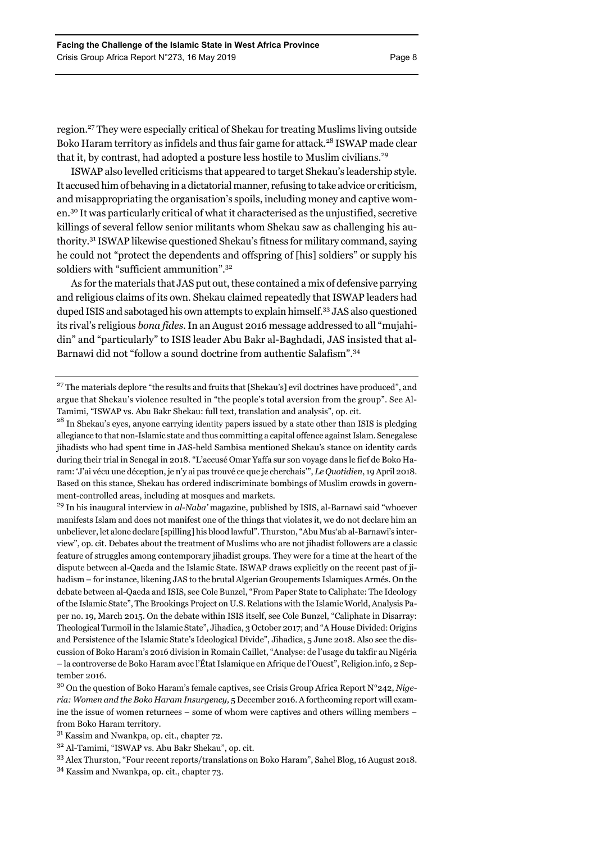region.27 They were especially critical of Shekau for treating Muslims living outside Boko Haram territory as infidels and thus fair game for attack.<sup>28</sup> ISWAP made clear that it, by contrast, had adopted a posture less hostile to Muslim civilians.<sup>29</sup>

ISWAP also levelled criticisms that appeared to target Shekau's leadership style. It accused him of behaving in a dictatorial manner, refusing to take advice or criticism, and misappropriating the organisation's spoils, including money and captive women.30 It was particularly critical of what it characterised as the unjustified, secretive killings of several fellow senior militants whom Shekau saw as challenging his authority.31 ISWAP likewise questioned Shekau's fitness for military command, saying he could not "protect the dependents and offspring of [his] soldiers" or supply his soldiers with "sufficient ammunition".<sup>32</sup>

As for the materials that JAS put out, these contained a mix of defensive parrying and religious claims of its own. Shekau claimed repeatedly that ISWAP leaders had duped ISIS and sabotaged his own attempts to explain himself.33 JAS also questioned its rival's religious *bona fides*. In an August 2016 message addressed to all "mujahidin" and "particularly" to ISIS leader Abu Bakr al-Baghdadi, JAS insisted that al-Barnawi did not "follow a sound doctrine from authentic Salafism".34

29 In his inaugural interview in *al-Naba'* magazine, published by ISIS, al-Barnawi said "whoever manifests Islam and does not manifest one of the things that violates it, we do not declare him an unbeliever, let alone declare [spilling] his blood lawful". Thurston, "Abu Mus'ab al-Barnawi's interview", op. cit. Debates about the treatment of Muslims who are not jihadist followers are a classic feature of struggles among contemporary jihadist groups. They were for a time at the heart of the dispute between al-Qaeda and the Islamic State. ISWAP draws explicitly on the recent past of jihadism – for instance, likening JAS to the brutal Algerian Groupements Islamiques Armés. On the debate between al-Qaeda and ISIS, see Cole Bunzel, "From Paper State to Caliphate: The Ideology of the Islamic State", The Brookings Project on U.S. Relations with the Islamic World, Analysis Paper no. 19, March 2015. On the debate within ISIS itself, see Cole Bunzel, "Caliphate in Disarray: Theological Turmoil in the Islamic State", Jihadica, 3 October 2017; and "A House Divided: Origins and Persistence of the Islamic State's Ideological Divide", Jihadica, 5 June 2018. Also see the discussion of Boko Haram's 2016 division in Romain Caillet, "Analyse: de l'usage du takfir au Nigéria – la controverse de Boko Haram avec l'État Islamique en Afrique de l'Ouest", Religion.info, 2 September 2016.

<sup>&</sup>lt;sup>27</sup> The materials deplore "the results and fruits that [Shekau's] evil doctrines have produced", and argue that Shekau's violence resulted in "the people's total aversion from the group". See Al-Tamimi, "ISWAP vs. Abu Bakr Shekau: full text, translation and analysis", op. cit.

<sup>&</sup>lt;sup>28</sup> In Shekau's eyes, anyone carrying identity papers issued by a state other than ISIS is pledging allegiance to that non-Islamic state and thus committing a capital offence against Islam. Senegalese jihadists who had spent time in JAS-held Sambisa mentioned Shekau's stance on identity cards during their trial in Senegal in 2018. "L'accusé Omar Yaffa sur son voyage dans le fief de Boko Haram: 'J'ai vécu une déception, je n'y ai pas trouvé ce que je cherchais'", *Le Quotidien*, 19 April 2018. Based on this stance, Shekau has ordered indiscriminate bombings of Muslim crowds in government-controlled areas, including at mosques and markets.

<sup>30</sup> On the question of Boko Haram's female captives, see Crisis Group Africa Report N°242, *Nigeria: Women and the Boko Haram Insurgency,* 5 December 2016. A forthcoming report will examine the issue of women returnees – some of whom were captives and others willing members – from Boko Haram territory.

<sup>31</sup> Kassim and Nwankpa, op. cit., chapter 72.

<sup>32</sup> Al-Tamimi, "ISWAP vs. Abu Bakr Shekau", op. cit.

<sup>33</sup> Alex Thurston, "Four recent reports/translations on Boko Haram", Sahel Blog, 16 August 2018.

<sup>34</sup> Kassim and Nwankpa, op. cit., chapter 73.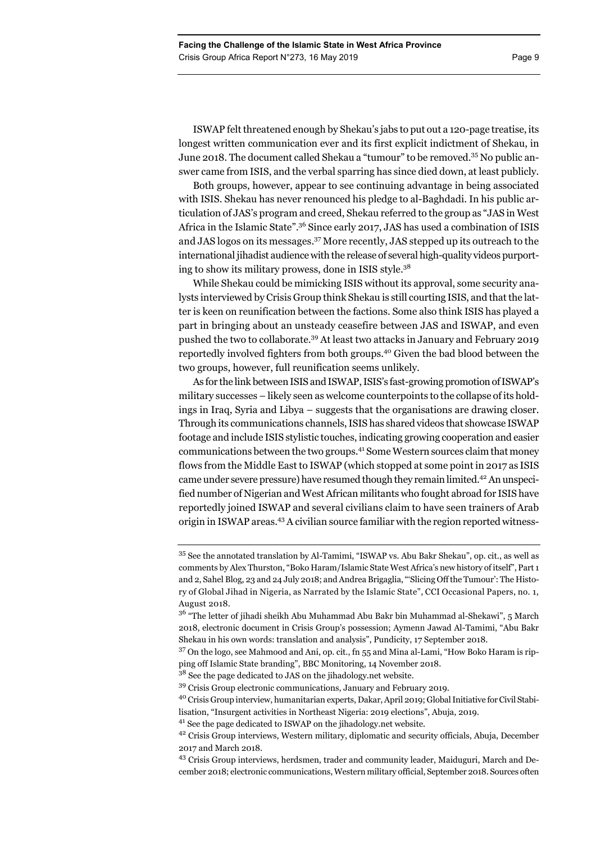ISWAP felt threatened enough by Shekau's jabs to put out a 120-page treatise, its longest written communication ever and its first explicit indictment of Shekau, in June 2018. The document called Shekau a "tumour" to be removed.<sup>35</sup> No public answer came from ISIS, and the verbal sparring has since died down, at least publicly.

Both groups, however, appear to see continuing advantage in being associated with ISIS. Shekau has never renounced his pledge to al-Baghdadi. In his public articulation of JAS's program and creed, Shekau referred to the group as "JAS in West Africa in the Islamic State".<sup>36</sup> Since early 2017, JAS has used a combination of ISIS and JAS logos on its messages.37 More recently, JAS stepped up its outreach to the international jihadist audience with the release of several high-quality videos purporting to show its military prowess, done in ISIS style.38

While Shekau could be mimicking ISIS without its approval, some security analysts interviewed by Crisis Group think Shekau is still courting ISIS, and that the latter is keen on reunification between the factions. Some also think ISIS has played a part in bringing about an unsteady ceasefire between JAS and ISWAP, and even pushed the two to collaborate.39 At least two attacks in January and February 2019 reportedly involved fighters from both groups.40 Given the bad blood between the two groups, however, full reunification seems unlikely.

As for the link between ISIS and ISWAP, ISIS's fast-growing promotion of ISWAP's military successes – likely seen as welcome counterpoints to the collapse of its holdings in Iraq, Syria and Libya – suggests that the organisations are drawing closer. Through its communications channels, ISIS has shared videos that showcase ISWAP footage and include ISIS stylistic touches, indicating growing cooperation and easier communications between the two groups.41 Some Western sources claim that money flows from the Middle East to ISWAP (which stopped at some point in 2017 as ISIS came under severe pressure) have resumed though they remain limited.<sup>42</sup> An unspecified number of Nigerian and West African militants who fought abroad for ISIS have reportedly joined ISWAP and several civilians claim to have seen trainers of Arab origin in ISWAP areas.43 A civilian source familiar with the region reported witness-

<sup>35</sup> See the annotated translation by Al-Tamimi, "ISWAP vs. Abu Bakr Shekau", op. cit., as well as comments by Alex Thurston, "Boko Haram/Islamic State West Africa's new history of itself", Part 1 and 2, Sahel Blog, 23 and 24 July 2018; and Andrea Brigaglia, "'Slicing Off the Tumour': The History of Global Jihad in Nigeria, as Narrated by the Islamic State", CCI Occasional Papers, no. 1, August 2018.

<sup>&</sup>lt;sup>36</sup> "The letter of jihadi sheikh Abu Muhammad Abu Bakr bin Muhammad al-Shekawi", 5 March 2018, electronic document in Crisis Group's possession; Aymenn Jawad Al-Tamimi, "Abu Bakr Shekau in his own words: translation and analysis", Pundicity, 17 September 2018.

<sup>&</sup>lt;sup>37</sup> On the logo, see Mahmood and Ani, op. cit., fn 55 and Mina al-Lami, "How Boko Haram is ripping off Islamic State branding", BBC Monitoring, 14 November 2018.

 $3^8$  See the page dedicated to JAS on the jihadology.net website.

<sup>39</sup> Crisis Group electronic communications, January and February 2019.

<sup>40</sup> Crisis Group interview, humanitarian experts, Dakar, April 2019; Global Initiative for Civil Stabi-

lisation, "Insurgent activities in Northeast Nigeria: 2019 elections", Abuja, 2019.

<sup>41</sup> See the page dedicated to ISWAP on the jihadology.net website.

<sup>&</sup>lt;sup>42</sup> Crisis Group interviews, Western military, diplomatic and security officials, Abuja, December 2017 and March 2018.

<sup>43</sup> Crisis Group interviews, herdsmen, trader and community leader, Maiduguri, March and December 2018; electronic communications, Western military official, September 2018. Sources often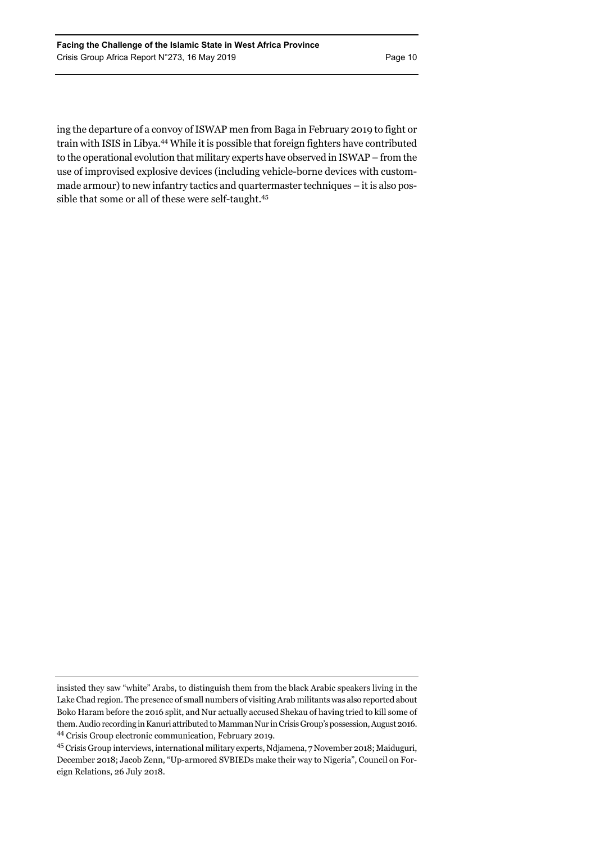ing the departure of a convoy of ISWAP men from Baga in February 2019 to fight or train with ISIS in Libya.44 While it is possible that foreign fighters have contributed to the operational evolution that military experts have observed in ISWAP – from the use of improvised explosive devices (including vehicle-borne devices with custommade armour) to new infantry tactics and quartermaster techniques – it is also possible that some or all of these were self-taught.45

insisted they saw "white" Arabs, to distinguish them from the black Arabic speakers living in the Lake Chad region. The presence of small numbers of visiting Arab militants was also reported about Boko Haram before the 2016 split, and Nur actually accused Shekau of having tried to kill some of them. Audio recording in Kanuri attributed to Mamman Nur in Crisis Group's possession, August 2016. 44 Crisis Group electronic communication, February 2019.

<sup>45</sup> Crisis Group interviews, international military experts, Ndjamena, 7 November 2018; Maiduguri, December 2018; Jacob Zenn, "Up-armored SVBIEDs make their way to Nigeria", Council on Foreign Relations, 26 July 2018.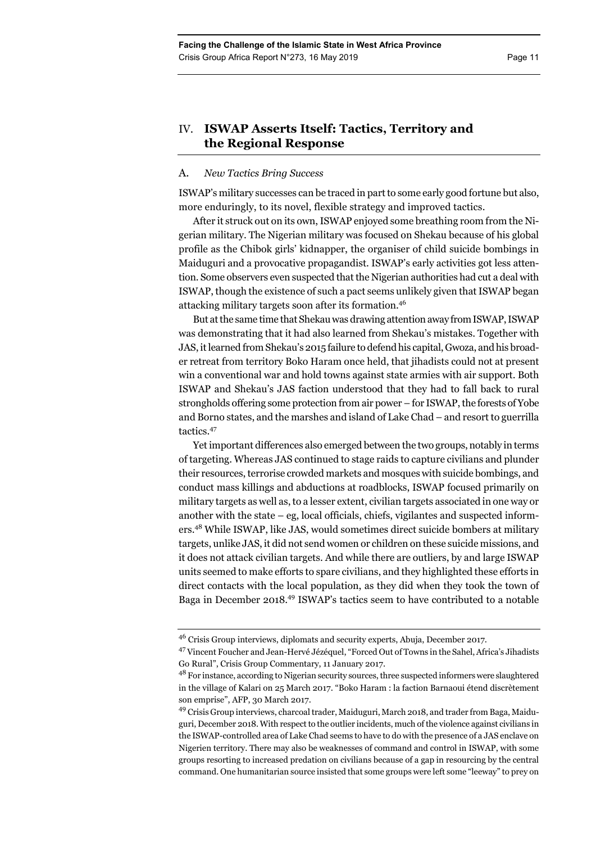# IV. **ISWAP Asserts Itself: Tactics, Territory and the Regional Response**

### A. *New Tactics Bring Success*

ISWAP's military successes can be traced in part to some early good fortune but also, more enduringly, to its novel, flexible strategy and improved tactics.

After it struck out on its own, ISWAP enjoyed some breathing room from the Nigerian military. The Nigerian military was focused on Shekau because of his global profile as the Chibok girls' kidnapper, the organiser of child suicide bombings in Maiduguri and a provocative propagandist. ISWAP's early activities got less attention. Some observers even suspected that the Nigerian authorities had cut a deal with ISWAP, though the existence of such a pact seems unlikely given that ISWAP began attacking military targets soon after its formation.46

But at the same time that Shekau was drawing attention away from ISWAP, ISWAP was demonstrating that it had also learned from Shekau's mistakes. Together with JAS, it learned from Shekau's 2015 failure to defend his capital, Gwoza, and his broader retreat from territory Boko Haram once held, that jihadists could not at present win a conventional war and hold towns against state armies with air support. Both ISWAP and Shekau's JAS faction understood that they had to fall back to rural strongholds offering some protection from air power – for ISWAP, the forests of Yobe and Borno states, and the marshes and island of Lake Chad – and resort to guerrilla tactics.47

Yet important differences also emerged between the two groups, notably in terms of targeting. Whereas JAS continued to stage raids to capture civilians and plunder their resources, terrorise crowded markets and mosques with suicide bombings, and conduct mass killings and abductions at roadblocks, ISWAP focused primarily on military targets as well as, to a lesser extent, civilian targets associated in one way or another with the state – eg, local officials, chiefs, vigilantes and suspected informers.48 While ISWAP, like JAS, would sometimes direct suicide bombers at military targets, unlike JAS, it did not send women or children on these suicide missions, and it does not attack civilian targets. And while there are outliers, by and large ISWAP units seemed to make efforts to spare civilians, and they highlighted these efforts in direct contacts with the local population, as they did when they took the town of Baga in December 2018.49 ISWAP's tactics seem to have contributed to a notable

<sup>46</sup> Crisis Group interviews, diplomats and security experts, Abuja, December 2017.

<sup>47</sup> Vincent Foucher and Jean-Hervé Jézéquel, "Forced Out of Towns in the Sahel, Africa's Jihadists Go Rural", Crisis Group Commentary, 11 January 2017.

<sup>&</sup>lt;sup>48</sup> For instance, according to Nigerian security sources, three suspected informers were slaughtered in the village of Kalari on 25 March 2017. "Boko Haram : la faction Barnaoui étend discrètement son emprise", AFP, 30 March 2017.

<sup>&</sup>lt;sup>49</sup> Crisis Group interviews, charcoal trader, Maiduguri, March 2018, and trader from Baga, Maiduguri, December 2018. With respect to the outlier incidents, much of the violence against civilians in the ISWAP-controlled area of Lake Chad seems to have to do with the presence of a JAS enclave on Nigerien territory. There may also be weaknesses of command and control in ISWAP, with some groups resorting to increased predation on civilians because of a gap in resourcing by the central command. One humanitarian source insisted that some groups were left some "leeway" to prey on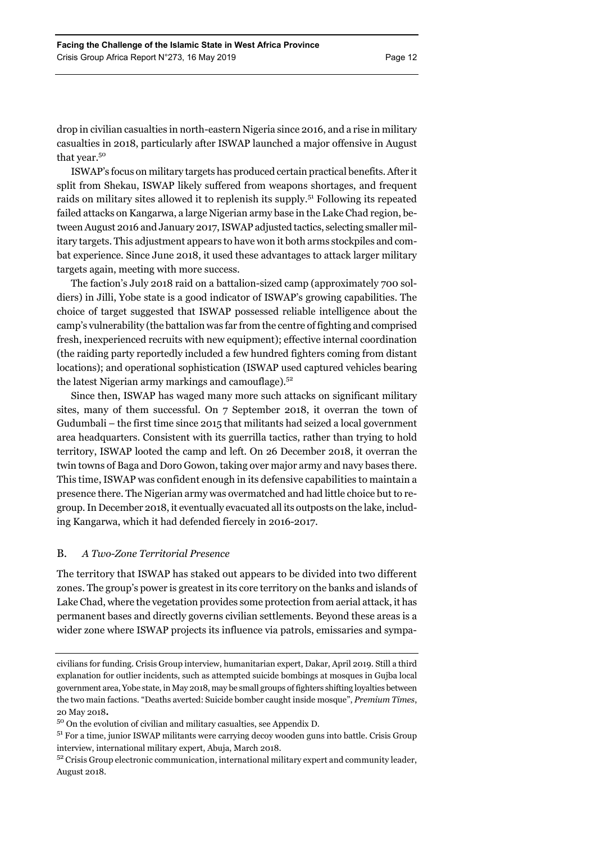drop in civilian casualties in north-eastern Nigeria since 2016, and a rise in military casualties in 2018, particularly after ISWAP launched a major offensive in August that year.<sup>50</sup>

ISWAP's focus on military targets has produced certain practical benefits. After it split from Shekau, ISWAP likely suffered from weapons shortages, and frequent raids on military sites allowed it to replenish its supply.51 Following its repeated failed attacks on Kangarwa, a large Nigerian army base in the Lake Chad region, between August 2016 and January 2017, ISWAP adjusted tactics, selecting smaller military targets. This adjustment appears to have won it both arms stockpiles and combat experience. Since June 2018, it used these advantages to attack larger military targets again, meeting with more success.

The faction's July 2018 raid on a battalion-sized camp (approximately 700 soldiers) in Jilli, Yobe state is a good indicator of ISWAP's growing capabilities. The choice of target suggested that ISWAP possessed reliable intelligence about the camp's vulnerability (the battalion was far from the centre of fighting and comprised fresh, inexperienced recruits with new equipment); effective internal coordination (the raiding party reportedly included a few hundred fighters coming from distant locations); and operational sophistication (ISWAP used captured vehicles bearing the latest Nigerian army markings and camouflage).52

Since then, ISWAP has waged many more such attacks on significant military sites, many of them successful. On 7 September 2018, it overran the town of Gudumbali – the first time since 2015 that militants had seized a local government area headquarters. Consistent with its guerrilla tactics, rather than trying to hold territory, ISWAP looted the camp and left. On 26 December 2018, it overran the twin towns of Baga and Doro Gowon, taking over major army and navy bases there. This time, ISWAP was confident enough in its defensive capabilities to maintain a presence there. The Nigerian army was overmatched and had little choice but to regroup. In December 2018, it eventually evacuated all its outposts on the lake, including Kangarwa, which it had defended fiercely in 2016-2017.

# B. *A Two-Zone Territorial Presence*

The territory that ISWAP has staked out appears to be divided into two different zones. The group's power is greatest in its core territory on the banks and islands of Lake Chad, where the vegetation provides some protection from aerial attack, it has permanent bases and directly governs civilian settlements. Beyond these areas is a wider zone where ISWAP projects its influence via patrols, emissaries and sympa-

civilians for funding. Crisis Group interview, humanitarian expert, Dakar, April 2019. Still a third explanation for outlier incidents, such as attempted suicide bombings at mosques in Gujba local government area, Yobe state, in May 2018, may be small groups of fighters shifting loyalties between the two main factions. "Deaths averted: Suicide bomber caught inside mosque", *Premium Times*, 20 May 2018**.** 

<sup>50</sup> On the evolution of civilian and military casualties, see Appendix D.

<sup>&</sup>lt;sup>51</sup> For a time, junior ISWAP militants were carrying decoy wooden guns into battle. Crisis Group interview, international military expert, Abuja, March 2018.

<sup>&</sup>lt;sup>52</sup> Crisis Group electronic communication, international military expert and community leader, August 2018.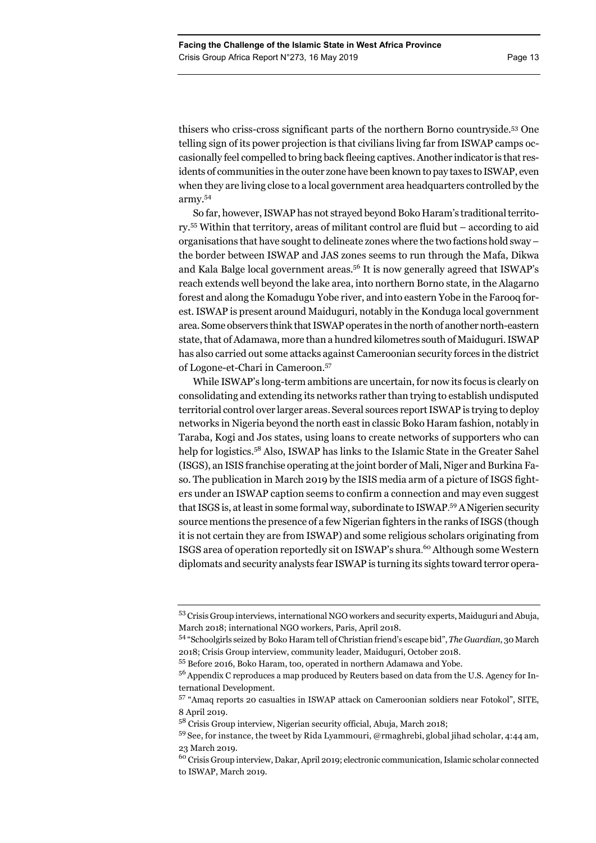thisers who criss-cross significant parts of the northern Borno countryside.53 One telling sign of its power projection is that civilians living far from ISWAP camps occasionally feel compelled to bring back fleeing captives. Another indicator is that residents of communities in the outer zone have been known to pay taxes to ISWAP, even when they are living close to a local government area headquarters controlled by the army.54

So far, however, ISWAP has not strayed beyond Boko Haram's traditional territory.55 Within that territory, areas of militant control are fluid but – according to aid organisations that have sought to delineate zones where the two factions hold sway – the border between ISWAP and JAS zones seems to run through the Mafa, Dikwa and Kala Balge local government areas.<sup>56</sup> It is now generally agreed that ISWAP's reach extends well beyond the lake area, into northern Borno state, in the Alagarno forest and along the Komadugu Yobe river, and into eastern Yobe in the Farooq forest. ISWAP is present around Maiduguri, notably in the Konduga local government area. Some observers think that ISWAP operates in the north of another north-eastern state, that of Adamawa, more than a hundred kilometres south of Maiduguri. ISWAP has also carried out some attacks against Cameroonian security forces in the district of Logone-et-Chari in Cameroon.57

While ISWAP's long-term ambitions are uncertain, for now its focus is clearly on consolidating and extending its networks rather than trying to establish undisputed territorial control over larger areas.Several sources report ISWAP is trying to deploy networks in Nigeria beyond the north east in classic Boko Haram fashion, notably in Taraba, Kogi and Jos states, using loans to create networks of supporters who can help for logistics.<sup>58</sup> Also, ISWAP has links to the Islamic State in the Greater Sahel (ISGS), an ISIS franchise operating at the joint border of Mali, Niger and Burkina Faso. The publication in March 2019 by the ISIS media arm of a picture of ISGS fighters under an ISWAP caption seems to confirm a connection and may even suggest that ISGS is, at least in some formal way, subordinate to ISWAP. 59 A Nigerien security source mentions the presence of a few Nigerian fighters in the ranks of ISGS (though it is not certain they are from ISWAP) and some religious scholars originating from ISGS area of operation reportedly sit on ISWAP's shura. 60 Although some Western diplomats and security analysts fear ISWAP is turning its sights toward terror opera-

<sup>53</sup> Crisis Group interviews, international NGO workers and security experts, Maiduguri and Abuja, March 2018; international NGO workers, Paris, April 2018.

<sup>54 &</sup>quot;Schoolgirls seized by Boko Haram tell of Christian friend's escape bid", *The Guardian*, 30 March 2018; Crisis Group interview, community leader, Maiduguri, October 2018.

<sup>55</sup> Before 2016, Boko Haram, too, operated in northern Adamawa and Yobe.

<sup>&</sup>lt;sup>56</sup> Appendix C reproduces a map produced by Reuters based on data from the U.S. Agency for International Development.

<sup>57 &</sup>quot;Amaq reports 20 casualties in ISWAP attack on Cameroonian soldiers near Fotokol", SITE, 8 April 2019.

<sup>58</sup> Crisis Group interview, Nigerian security official, Abuja, March 2018;

 $59$  See, for instance, the tweet by Rida Lyammouri, @rmaghrebi, global jihad scholar, 4:44 am, 23 March 2019.

<sup>&</sup>lt;sup>60</sup> Crisis Group interview, Dakar, April 2019; electronic communication, Islamic scholar connected to ISWAP, March 2019.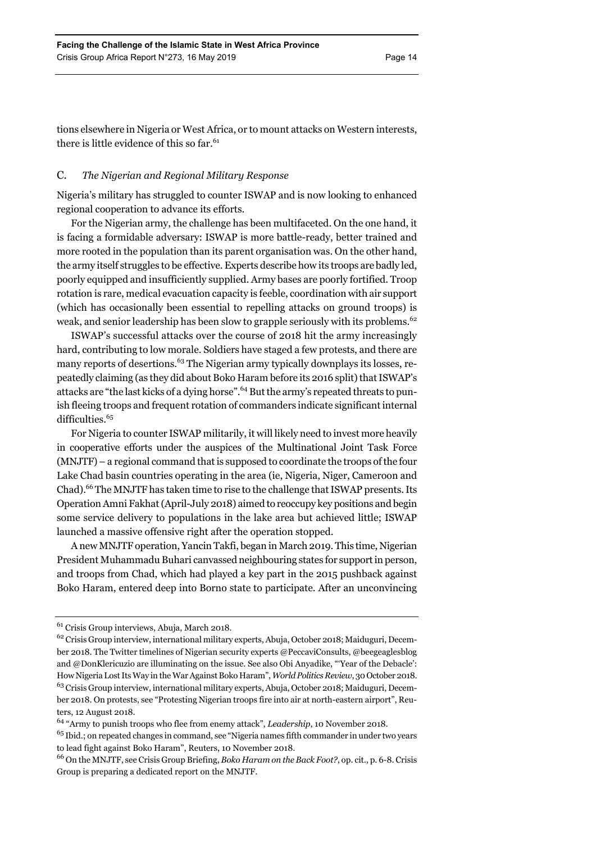tions elsewhere in Nigeria or West Africa, or to mount attacks on Western interests, there is little evidence of this so far.<sup>61</sup>

## C. *The Nigerian and Regional Military Response*

Nigeria's military has struggled to counter ISWAP and is now looking to enhanced regional cooperation to advance its efforts.

For the Nigerian army, the challenge has been multifaceted. On the one hand, it is facing a formidable adversary: ISWAP is more battle-ready, better trained and more rooted in the population than its parent organisation was. On the other hand, the army itself struggles to be effective. Experts describe how its troops are badly led, poorly equipped and insufficiently supplied. Army bases are poorly fortified. Troop rotation is rare, medical evacuation capacity is feeble, coordination with air support (which has occasionally been essential to repelling attacks on ground troops) is weak, and senior leadership has been slow to grapple seriously with its problems.<sup>62</sup>

ISWAP's successful attacks over the course of 2018 hit the army increasingly hard, contributing to low morale. Soldiers have staged a few protests, and there are many reports of desertions.<sup>63</sup> The Nigerian army typically downplays its losses, repeatedly claiming (as they did about Boko Haram before its 2016 split) that ISWAP's attacks are "the last kicks of a dying horse".<sup>64</sup> But the army's repeated threats to punish fleeing troops and frequent rotation of commanders indicate significant internal difficulties.<sup>65</sup>

For Nigeria to counter ISWAP militarily, it will likely need to invest more heavily in cooperative efforts under the auspices of the Multinational Joint Task Force (MNJTF) – a regional command that is supposed to coordinate the troops of the four Lake Chad basin countries operating in the area (ie, Nigeria, Niger, Cameroon and Chad).66 The MNJTF has taken time to rise to the challenge that ISWAP presents. Its Operation Amni Fakhat (April-July 2018) aimed to reoccupy key positions and begin some service delivery to populations in the lake area but achieved little; ISWAP launched a massive offensive right after the operation stopped.

A new MNJTF operation, Yancin Takfi, began in March 2019. This time, Nigerian President Muhammadu Buhari canvassed neighbouring states for support in person, and troops from Chad, which had played a key part in the 2015 pushback against Boko Haram, entered deep into Borno state to participate. After an unconvincing

<sup>61</sup> Crisis Group interviews, Abuja, March 2018.

<sup>62</sup> Crisis Group interview, international military experts, Abuja, October 2018; Maiduguri, December 2018. The Twitter timelines of Nigerian security experts @PeccaviConsults, @beegeaglesblog and @DonKlericuzio are illuminating on the issue. See also Obi Anyadike, "'Year of the Debacle': How Nigeria Lost Its Way in the War Against Boko Haram", *World Politics Review*, 30 October 2018. <sup>63</sup> Crisis Group interview, international military experts, Abuja, October 2018; Maiduguri, December 2018. On protests, see "Protesting Nigerian troops fire into air at north-eastern airport", Reuters, 12 August 2018.

<sup>64 &</sup>quot;Army to punish troops who flee from enemy attack", *Leadership*, 10 November 2018.

 $65$  Ibid.; on repeated changes in command, see "Nigeria names fifth commander in under two years to lead fight against Boko Haram", Reuters, 10 November 2018.

<sup>66</sup> On the MNJTF, see Crisis Group Briefing, *Boko Haram on the Back Foot?*, op. cit., p. 6-8. Crisis Group is preparing a dedicated report on the MNJTF.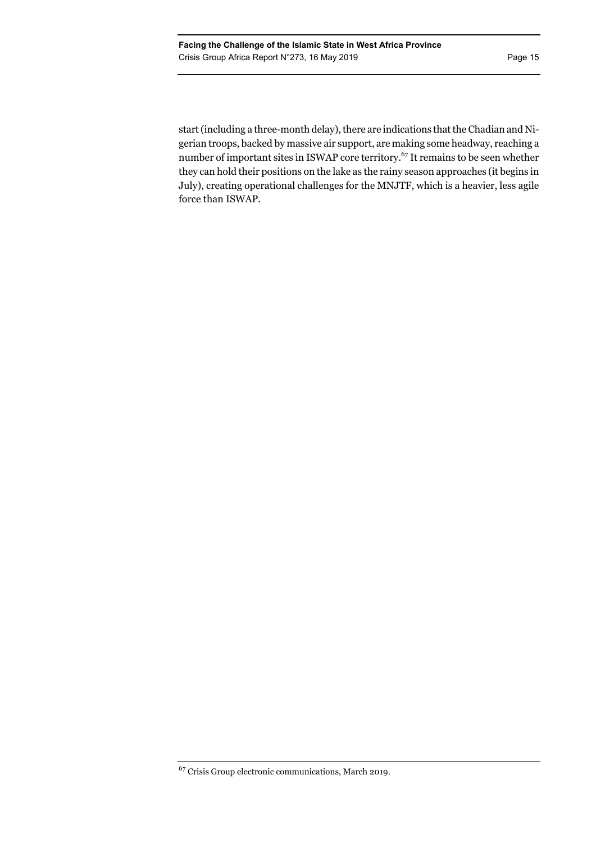start (including a three-month delay), there are indications that the Chadian and Nigerian troops, backed by massive air support, are making some headway, reaching a number of important sites in ISWAP core territory.67 It remains to be seen whether they can hold their positions on the lake as the rainy season approaches (it begins in July), creating operational challenges for the MNJTF, which is a heavier, less agile force than ISWAP.

<sup>67</sup> Crisis Group electronic communications, March 2019.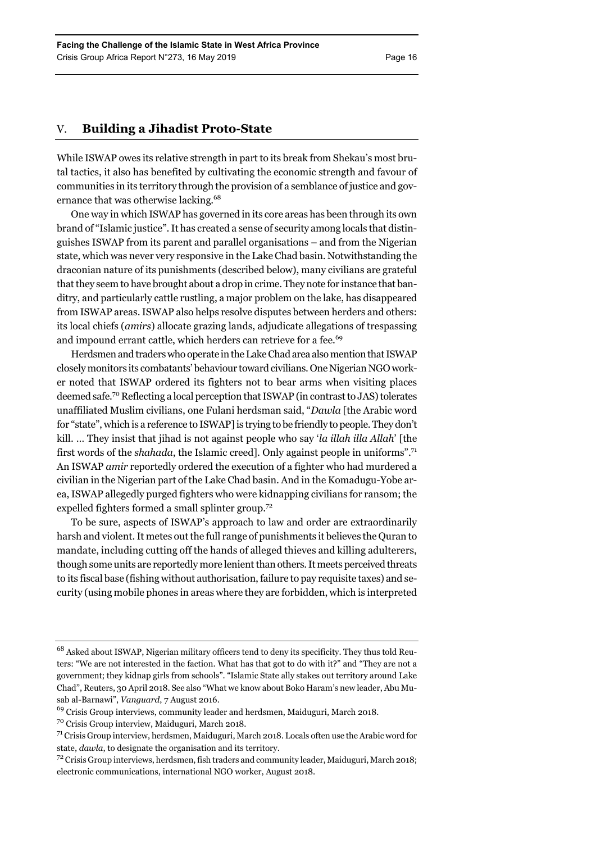# V. **Building a Jihadist Proto-State**

While ISWAP owes its relative strength in part to its break from Shekau's most brutal tactics, it also has benefited by cultivating the economic strength and favour of communities in its territory through the provision of a semblance of justice and governance that was otherwise lacking.<sup>68</sup>

One way in which ISWAP has governed in its core areas has been through its own brand of "Islamic justice". It has created a sense of security among locals that distinguishes ISWAP from its parent and parallel organisations – and from the Nigerian state, which was never very responsive in the Lake Chad basin. Notwithstanding the draconian nature of its punishments (described below), many civilians are grateful that they seem to have brought about a drop in crime. They note for instance that banditry, and particularly cattle rustling, a major problem on the lake, has disappeared from ISWAP areas. ISWAP also helps resolve disputes between herders and others: its local chiefs (*amirs*) allocate grazing lands, adjudicate allegations of trespassing and impound errant cattle, which herders can retrieve for a fee.<sup>69</sup>

Herdsmen and traders who operate in the Lake Chad area also mention that ISWAP closely monitors its combatants' behaviour toward civilians. One Nigerian NGO worker noted that ISWAP ordered its fighters not to bear arms when visiting places deemed safe.70 Reflecting a local perception that ISWAP (in contrast to JAS) tolerates unaffiliated Muslim civilians, one Fulani herdsman said, "*Dawla* [the Arabic word for "state", which is a reference to ISWAP] is trying to be friendly to people. They don't kill. … They insist that jihad is not against people who say '*la illah illa Allah*' [the first words of the *shahada*, the Islamic creed]. Only against people in uniforms".71 An ISWAP *amir* reportedly ordered the execution of a fighter who had murdered a civilian in the Nigerian part of the Lake Chad basin. And in the Komadugu-Yobe area, ISWAP allegedly purged fighters who were kidnapping civilians for ransom; the expelled fighters formed a small splinter group.<sup>72</sup>

To be sure, aspects of ISWAP's approach to law and order are extraordinarily harsh and violent. It metes out the full range of punishments it believes the Quran to mandate, including cutting off the hands of alleged thieves and killing adulterers, though some units are reportedly more lenient than others. It meets perceived threats to its fiscal base (fishing without authorisation, failure to pay requisite taxes) and security (using mobile phones in areas where they are forbidden, which is interpreted

<sup>68</sup> Asked about ISWAP, Nigerian military officers tend to deny its specificity. They thus told Reuters: "We are not interested in the faction. What has that got to do with it?" and "They are not a government; they kidnap girls from schools". "Islamic State ally stakes out territory around Lake Chad", Reuters, 30 April 2018. See also "What we know about Boko Haram's new leader, Abu Musab al-Barnawi", *Vanguard*, 7 August 2016.

<sup>&</sup>lt;sup>69</sup> Crisis Group interviews, community leader and herdsmen, Maiduguri, March 2018.

<sup>70</sup> Crisis Group interview, Maiduguri, March 2018.

 $71$  Crisis Group interview, herdsmen, Maiduguri, March 2018. Locals often use the Arabic word for state, *dawla*, to designate the organisation and its territory.

<sup>&</sup>lt;sup>72</sup> Crisis Group interviews, herdsmen, fish traders and community leader, Maiduguri, March 2018; electronic communications, international NGO worker, August 2018.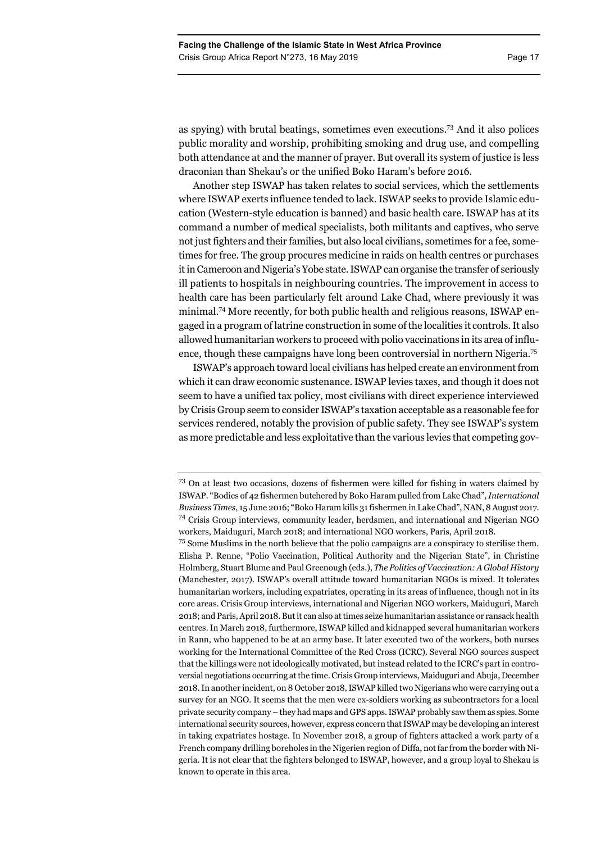as spying) with brutal beatings, sometimes even executions.73 And it also polices public morality and worship, prohibiting smoking and drug use, and compelling both attendance at and the manner of prayer. But overall its system of justice is less draconian than Shekau's or the unified Boko Haram's before 2016.

Another step ISWAP has taken relates to social services, which the settlements where ISWAP exerts influence tended to lack. ISWAP seeks to provide Islamic education (Western-style education is banned) and basic health care. ISWAP has at its command a number of medical specialists, both militants and captives, who serve not just fighters and their families, but also local civilians, sometimes for a fee, sometimes for free. The group procures medicine in raids on health centres or purchases it in Cameroon and Nigeria's Yobe state. ISWAP can organise the transfer of seriously ill patients to hospitals in neighbouring countries. The improvement in access to health care has been particularly felt around Lake Chad, where previously it was minimal.74 More recently, for both public health and religious reasons, ISWAP engaged in a program of latrine construction in some of the localities it controls. It also allowed humanitarian workers to proceed with polio vaccinations in its area of influence, though these campaigns have long been controversial in northern Nigeria.75

ISWAP's approach toward local civilians has helped create an environment from which it can draw economic sustenance. ISWAP levies taxes, and though it does not seem to have a unified tax policy, most civilians with direct experience interviewed by Crisis Group seem to consider ISWAP's taxation acceptable as a reasonable fee for services rendered, notably the provision of public safety. They see ISWAP's system as more predictable and less exploitative than the various levies that competing gov-

<sup>&</sup>lt;sup>73</sup> On at least two occasions, dozens of fishermen were killed for fishing in waters claimed by ISWAP. "Bodies of 42 fishermen butchered by Boko Haram pulled from Lake Chad", *International Business Times*, 15 June 2016; "Boko Haram kills 31 fishermen in Lake Chad", NAN, 8 August 2017. 74 Crisis Group interviews, community leader, herdsmen, and international and Nigerian NGO workers, Maiduguri, March 2018; and international NGO workers, Paris, April 2018.

<sup>75</sup> Some Muslims in the north believe that the polio campaigns are a conspiracy to sterilise them. Elisha P. Renne, "Polio Vaccination, Political Authority and the Nigerian State", in Christine Holmberg, Stuart Blume and Paul Greenough (eds.), *The Politics of Vaccination: A Global History* (Manchester, 2017). ISWAP's overall attitude toward humanitarian NGOs is mixed. It tolerates humanitarian workers, including expatriates, operating in its areas of influence, though not in its core areas. Crisis Group interviews, international and Nigerian NGO workers, Maiduguri, March 2018; and Paris, April 2018. But it can also at times seize humanitarian assistance or ransack health centres. In March 2018, furthermore, ISWAP killed and kidnapped several humanitarian workers in Rann, who happened to be at an army base. It later executed two of the workers, both nurses working for the International Committee of the Red Cross (ICRC). Several NGO sources suspect that the killings were not ideologically motivated, but instead related to the ICRC's part in controversial negotiations occurring at the time. Crisis Group interviews, Maiduguri and Abuja, December 2018. In another incident, on 8 October 2018, ISWAP killed two Nigerians who were carrying out a survey for an NGO. It seems that the men were ex-soldiers working as subcontractors for a local private security company – they had maps and GPS apps. ISWAP probably saw them as spies. Some international security sources, however, express concern that ISWAP may be developing an interest in taking expatriates hostage. In November 2018, a group of fighters attacked a work party of a French company drilling boreholes in the Nigerien region of Diffa, not far from the border with Nigeria. It is not clear that the fighters belonged to ISWAP, however, and a group loyal to Shekau is known to operate in this area.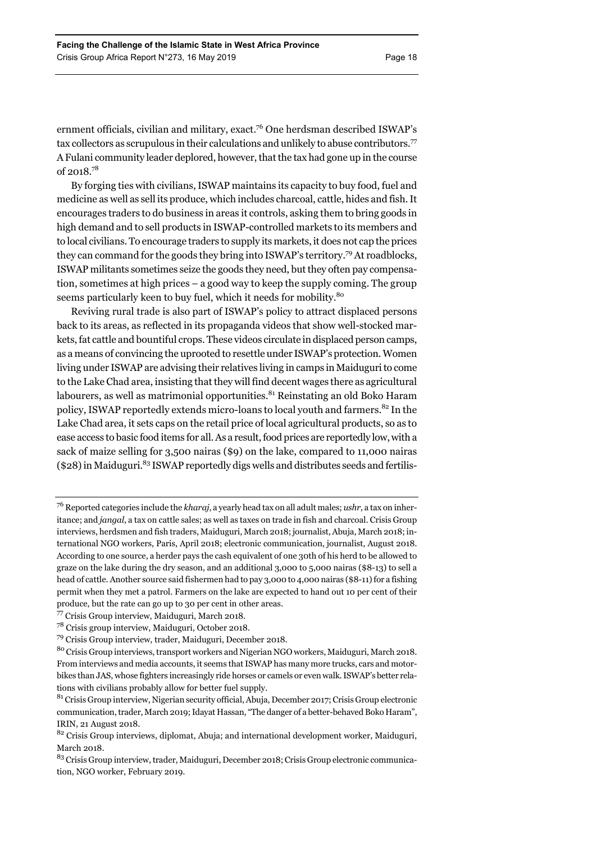ernment officials, civilian and military, exact.<sup>76</sup> One herdsman described ISWAP's tax collectors as scrupulous in their calculations and unlikely to abuse contributors.<sup>77</sup> A Fulani community leader deplored, however, that the tax had gone up in the course of 2018.78

By forging ties with civilians, ISWAP maintains its capacity to buy food, fuel and medicine as well as sell its produce, which includes charcoal, cattle, hides and fish. It encourages traders to do business in areas it controls, asking them to bring goods in high demand and to sell products in ISWAP-controlled markets to its members and to local civilians. To encourage traders to supply its markets, it does not cap the prices they can command for the goods they bring into ISWAP's territory.79 At roadblocks, ISWAP militants sometimes seize the goods they need, but they often pay compensation, sometimes at high prices – a good way to keep the supply coming. The group seems particularly keen to buy fuel, which it needs for mobility.<sup>80</sup>

Reviving rural trade is also part of ISWAP's policy to attract displaced persons back to its areas, as reflected in its propaganda videos that show well-stocked markets, fat cattle and bountiful crops. These videos circulate in displaced person camps, as a means of convincing the uprooted to resettle under ISWAP's protection. Women living under ISWAP are advising their relatives living in camps in Maiduguri to come to the Lake Chad area, insisting that they will find decent wages there as agricultural labourers, as well as matrimonial opportunities.<sup>81</sup> Reinstating an old Boko Haram policy, ISWAP reportedly extends micro-loans to local youth and farmers.<sup>82</sup> In the Lake Chad area, it sets caps on the retail price of local agricultural products, so as to ease access to basic food items for all. As a result, food prices are reportedly low, with a sack of maize selling for 3,500 nairas (\$9) on the lake, compared to 11,000 nairas  $(\$28)$  in Maiduguri.<sup>83</sup> ISWAP reportedly digs wells and distributes seeds and fertilis-

<sup>76</sup> Reported categories include the *kharaj*, a yearly head tax on all adult males; *ushr*, a tax on inheritance; and *jangal*, a tax on cattle sales; as well as taxes on trade in fish and charcoal. Crisis Group interviews, herdsmen and fish traders, Maiduguri, March 2018; journalist, Abuja, March 2018; international NGO workers, Paris, April 2018; electronic communication, journalist, August 2018. According to one source, a herder pays the cash equivalent of one 30th of his herd to be allowed to graze on the lake during the dry season, and an additional 3,000 to 5,000 nairas (\$8-13) to sell a head of cattle. Another source said fishermen had to pay 3,000 to 4,000 nairas (\$8-11) for a fishing permit when they met a patrol. Farmers on the lake are expected to hand out 10 per cent of their produce, but the rate can go up to 30 per cent in other areas.

<sup>77</sup> Crisis Group interview, Maiduguri, March 2018.

<sup>78</sup> Crisis group interview, Maiduguri, October 2018.

<sup>79</sup> Crisis Group interview, trader, Maiduguri, December 2018.

<sup>80</sup> Crisis Group interviews, transport workers and Nigerian NGO workers, Maiduguri, March 2018. From interviews and media accounts, it seems that ISWAP has many more trucks, cars and motorbikes than JAS, whose fighters increasingly ride horses or camels or even walk. ISWAP's better relations with civilians probably allow for better fuel supply.

 $81$  Crisis Group interview, Nigerian security official, Abuja, December 2017; Crisis Group electronic communication, trader, March 2019; Idayat Hassan, "The danger of a better-behaved Boko Haram", IRIN, 21 August 2018.

 $82$  Crisis Group interviews, diplomat, Abuja; and international development worker, Maiduguri, March 2018.

<sup>&</sup>lt;sup>83</sup> Crisis Group interview, trader, Maiduguri, December 2018; Crisis Group electronic communication, NGO worker, February 2019.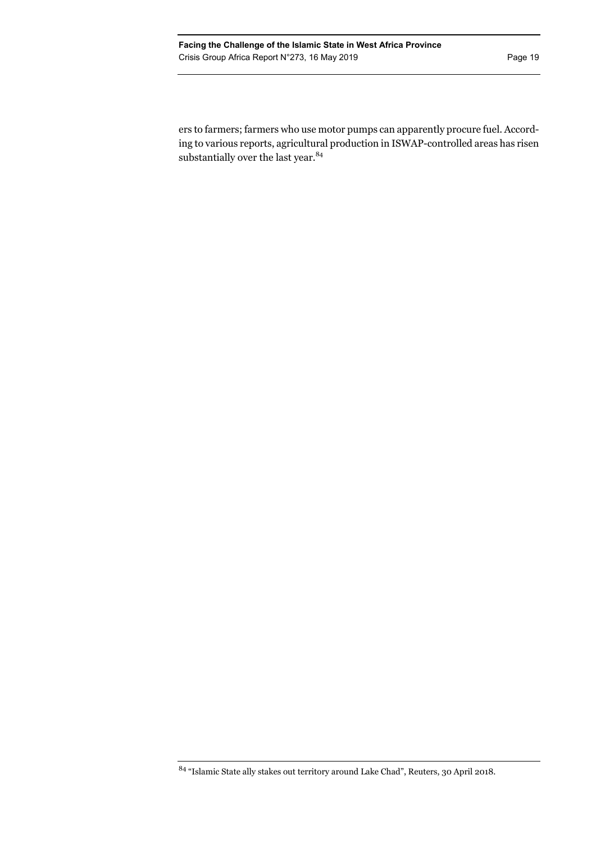ers to farmers; farmers who use motor pumps can apparently procure fuel. According to various reports, agricultural production in ISWAP-controlled areas has risen substantially over the last year.<sup>84</sup>

 $^{84}$  "Islamic State ally stakes out territory around Lake Chad", Reuters, 30 April 2018.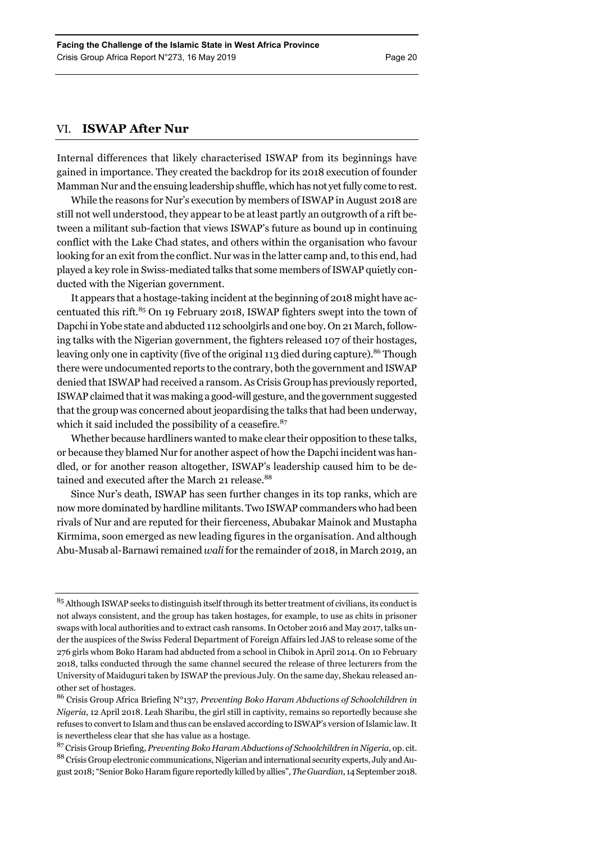# VI. **ISWAP After Nur**

Internal differences that likely characterised ISWAP from its beginnings have gained in importance. They created the backdrop for its 2018 execution of founder Mamman Nur and the ensuing leadership shuffle, which has not yet fully come to rest.

While the reasons for Nur's execution by members of ISWAP in August 2018 are still not well understood, they appear to be at least partly an outgrowth of a rift between a militant sub-faction that views ISWAP's future as bound up in continuing conflict with the Lake Chad states, and others within the organisation who favour looking for an exit from the conflict. Nur was in the latter camp and, to this end, had played a key role in Swiss-mediated talks that some members of ISWAP quietly conducted with the Nigerian government.

It appears that a hostage-taking incident at the beginning of 2018 might have accentuated this rift. $85$  On 19 February 2018, ISWAP fighters swept into the town of Dapchi in Yobe state and abducted 112 schoolgirls and one boy. On 21 March, following talks with the Nigerian government, the fighters released 107 of their hostages, leaving only one in captivity (five of the original 113 died during capture).<sup>86</sup> Though there were undocumented reports to the contrary, both the government and ISWAP denied that ISWAP had received a ransom. As Crisis Group has previously reported, ISWAP claimed that it was making a good-will gesture, and the government suggested that the group was concerned about jeopardising the talks that had been underway, which it said included the possibility of a ceasefire. $87$ 

Whether because hardliners wanted to make clear their opposition to these talks, or because they blamed Nur for another aspect of how the Dapchi incident was handled, or for another reason altogether, ISWAP's leadership caused him to be detained and executed after the March 21 release.<sup>88</sup>

Since Nur's death, ISWAP has seen further changes in its top ranks, which are now more dominated by hardline militants. Two ISWAP commanders who had been rivals of Nur and are reputed for their fierceness, Abubakar Mainok and Mustapha Kirmima, soon emerged as new leading figures in the organisation. And although Abu-Musab al-Barnawi remained *wali* for the remainder of 2018, in March 2019, an

<sup>&</sup>lt;sup>85</sup> Although ISWAP seeks to distinguish itself through its better treatment of civilians, its conduct is not always consistent, and the group has taken hostages, for example, to use as chits in prisoner swaps with local authorities and to extract cash ransoms. In October 2016 and May 2017, talks under the auspices of the Swiss Federal Department of Foreign Affairs led JAS to release some of the 276 girls whom Boko Haram had abducted from a school in Chibok in April 2014. On 10 February 2018, talks conducted through the same channel secured the release of three lecturers from the University of Maiduguri taken by ISWAP the previous July. On the same day, Shekau released another set of hostages.

<sup>86</sup> Crisis Group Africa Briefing N°137, *Preventing Boko Haram Abductions of Schoolchildren in Nigeria*, 12 April 2018. Leah Sharibu, the girl still in captivity, remains so reportedly because she refuses to convert to Islam and thus can be enslaved according to ISWAP's version of Islamic law. It is nevertheless clear that she has value as a hostage.

<sup>87</sup> Crisis Group Briefing, *Preventing Boko Haram Abductions of Schoolchildren in Nigeria*, op. cit. 88 Crisis Group electronic communications, Nigerian and international security experts, July and August 2018; "Senior Boko Haram figure reportedly killed by allies", *The Guardian*, 14 September 2018.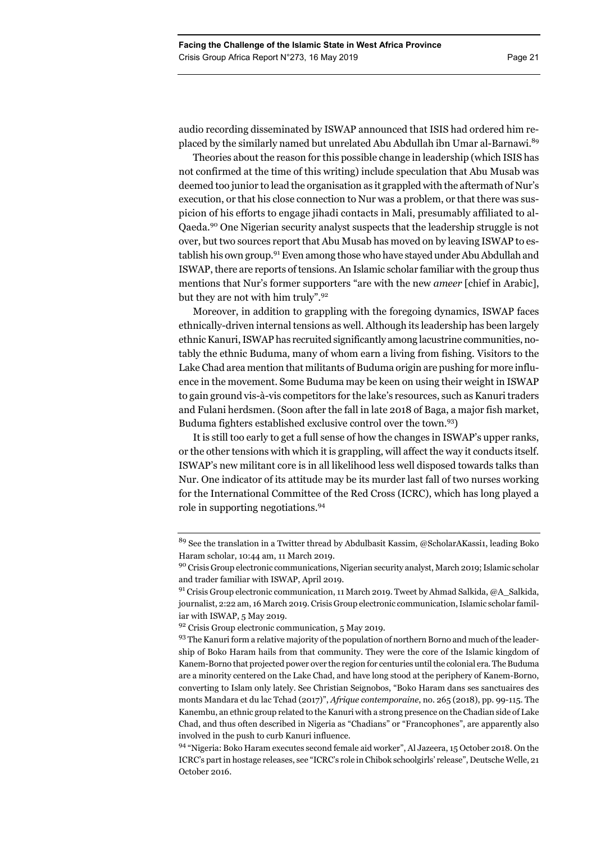audio recording disseminated by ISWAP announced that ISIS had ordered him replaced by the similarly named but unrelated Abu Abdullah ibn Umar al-Barnawi.<sup>89</sup>

Theories about the reason for this possible change in leadership (which ISIS has not confirmed at the time of this writing) include speculation that Abu Musab was deemed too junior to lead the organisation as it grappled with the aftermath of Nur's execution, or that his close connection to Nur was a problem, or that there was suspicion of his efforts to engage jihadi contacts in Mali, presumably affiliated to al-Qaeda.90 One Nigerian security analyst suspects that the leadership struggle is not over, but two sources report that Abu Musab has moved on by leaving ISWAP to establish his own group.<sup>91</sup> Even among those who have stayed under Abu Abdullah and ISWAP, there are reports of tensions. An Islamic scholar familiar with the group thus mentions that Nur's former supporters "are with the new *ameer* [chief in Arabic], but they are not with him truly".<sup>92</sup>

Moreover, in addition to grappling with the foregoing dynamics, ISWAP faces ethnically-driven internal tensions as well. Although its leadership has been largely ethnic Kanuri, ISWAP has recruited significantly among lacustrine communities, notably the ethnic Buduma, many of whom earn a living from fishing. Visitors to the Lake Chad area mention that militants of Buduma origin are pushing for more influence in the movement. Some Buduma may be keen on using their weight in ISWAP to gain ground vis-à-vis competitors for the lake's resources, such as Kanuri traders and Fulani herdsmen. (Soon after the fall in late 2018 of Baga, a major fish market, Buduma fighters established exclusive control over the town.93)

It is still too early to get a full sense of how the changes in ISWAP's upper ranks, or the other tensions with which it is grappling, will affect the way it conducts itself. ISWAP's new militant core is in all likelihood less well disposed towards talks than Nur. One indicator of its attitude may be its murder last fall of two nurses working for the International Committee of the Red Cross (ICRC), which has long played a role in supporting negotiations.94

<sup>89</sup> See the translation in a Twitter thread by Abdulbasit Kassim, @ScholarAKassi1, leading Boko Haram scholar, 10:44 am, 11 March 2019.

<sup>90</sup> Crisis Group electronic communications, Nigerian security analyst, March 2019; Islamic scholar and trader familiar with ISWAP, April 2019.

<sup>&</sup>lt;sup>91</sup> Crisis Group electronic communication, 11 March 2019. Tweet by Ahmad Salkida, @A\_Salkida, journalist, 2:22 am, 16 March 2019. Crisis Group electronic communication, Islamic scholar familiar with ISWAP, 5 May 2019.

<sup>&</sup>lt;sup>92</sup> Crisis Group electronic communication, 5 May 2019.

<sup>&</sup>lt;sup>93</sup> The Kanuri form a relative majority of the population of northern Borno and much of the leadership of Boko Haram hails from that community. They were the core of the Islamic kingdom of Kanem-Borno that projected power over the region for centuries until the colonial era. The Buduma are a minority centered on the Lake Chad, and have long stood at the periphery of Kanem-Borno, converting to Islam only lately. See Christian Seignobos, "Boko Haram dans ses sanctuaires des monts Mandara et du lac Tchad (2017)", *Afrique contemporaine*, no. 265 (2018), pp. 99-115. The Kanembu, an ethnic group related to the Kanuri with a strong presence on the Chadian side of Lake Chad, and thus often described in Nigeria as "Chadians" or "Francophones", are apparently also involved in the push to curb Kanuri influence.

<sup>&</sup>lt;sup>94</sup> "Nigeria: Boko Haram executes second female aid worker", Al Jazeera, 15 October 2018. On the ICRC's part in hostage releases, see "ICRC's role in Chibok schoolgirls' release", Deutsche Welle, 21 October 2016.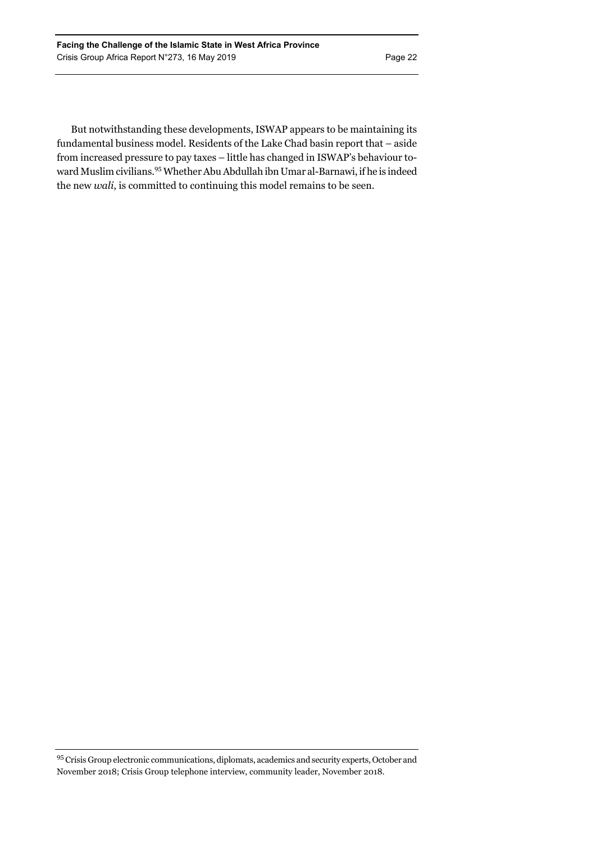But notwithstanding these developments, ISWAP appears to be maintaining its fundamental business model. Residents of the Lake Chad basin report that – aside from increased pressure to pay taxes – little has changed in ISWAP's behaviour toward Muslim civilians.95 Whether Abu Abdullah ibn Umar al-Barnawi, if he is indeed the new *wali*, is committed to continuing this model remains to be seen.

<sup>95</sup> Crisis Group electronic communications, diplomats, academics and security experts, October and November 2018; Crisis Group telephone interview, community leader, November 2018.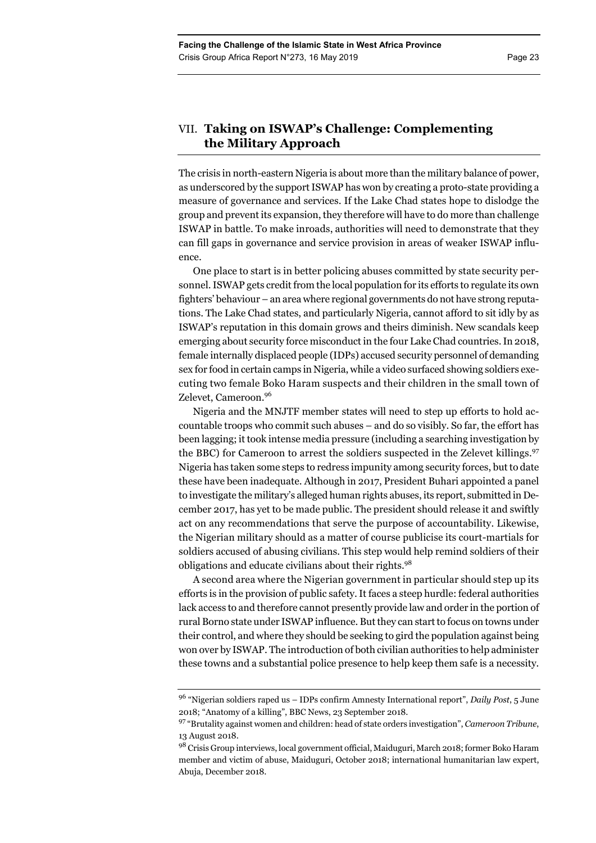# VII. **Taking on ISWAP's Challenge: Complementing the Military Approach**

The crisis in north-eastern Nigeria is about more than the military balance of power, as underscored by the support ISWAP has won by creating a proto-state providing a measure of governance and services. If the Lake Chad states hope to dislodge the group and prevent its expansion, they therefore will have to do more than challenge ISWAP in battle. To make inroads, authorities will need to demonstrate that they can fill gaps in governance and service provision in areas of weaker ISWAP influence.

One place to start is in better policing abuses committed by state security personnel. ISWAP gets credit from the local population for its efforts to regulate its own fighters' behaviour – an area where regional governments do not have strong reputations. The Lake Chad states, and particularly Nigeria, cannot afford to sit idly by as ISWAP's reputation in this domain grows and theirs diminish. New scandals keep emerging about security force misconduct in the four Lake Chad countries. In 2018, female internally displaced people (IDPs) accused security personnel of demanding sex for food in certain camps in Nigeria, while a video surfaced showing soldiers executing two female Boko Haram suspects and their children in the small town of Zelevet, Cameroon.96

Nigeria and the MNJTF member states will need to step up efforts to hold accountable troops who commit such abuses – and do so visibly. So far, the effort has been lagging; it took intense media pressure (including a searching investigation by the BBC) for Cameroon to arrest the soldiers suspected in the Zelevet killings.<sup>97</sup> Nigeria has taken some steps to redress impunity among security forces, but to date these have been inadequate. Although in 2017, President Buhari appointed a panel to investigate the military's alleged human rights abuses, its report, submitted in December 2017, has yet to be made public. The president should release it and swiftly act on any recommendations that serve the purpose of accountability. Likewise, the Nigerian military should as a matter of course publicise its court-martials for soldiers accused of abusing civilians. This step would help remind soldiers of their obligations and educate civilians about their rights.<sup>98</sup>

A second area where the Nigerian government in particular should step up its efforts is in the provision of public safety. It faces a steep hurdle: federal authorities lack access to and therefore cannot presently provide law and order in the portion of rural Borno state under ISWAP influence. But they can start to focus on towns under their control, and where they should be seeking to gird the population against being won over by ISWAP. The introduction of both civilian authorities to help administer these towns and a substantial police presence to help keep them safe is a necessity.

<sup>96 &</sup>quot;Nigerian soldiers raped us – IDPs confirm Amnesty International report", *Daily Post*, 5 June 2018; "Anatomy of a killing", BBC News, 23 September 2018.

<sup>97 &</sup>quot;Brutality against women and children: head of state orders investigation", *Cameroon Tribune*, 13 August 2018.

<sup>98</sup> Crisis Group interviews, local government official, Maiduguri, March 2018; former Boko Haram member and victim of abuse, Maiduguri, October 2018; international humanitarian law expert, Abuja, December 2018.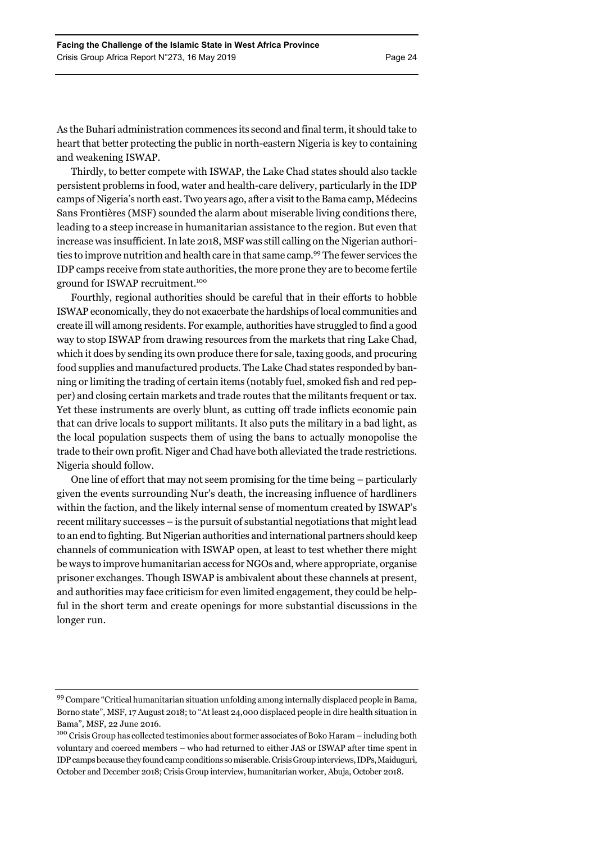As the Buhari administration commences its second and final term, it should take to heart that better protecting the public in north-eastern Nigeria is key to containing and weakening ISWAP.

Thirdly, to better compete with ISWAP, the Lake Chad states should also tackle persistent problems in food, water and health-care delivery, particularly in the IDP camps of Nigeria's north east. Two years ago, after a visit to the Bama camp, Médecins Sans Frontières (MSF) sounded the alarm about miserable living conditions there, leading to a steep increase in humanitarian assistance to the region. But even that increase was insufficient. In late 2018, MSF was still calling on the Nigerian authorities to improve nutrition and health care in that same camp.99 The fewer services the IDP camps receive from state authorities, the more prone they are to become fertile ground for ISWAP recruitment.100

Fourthly, regional authorities should be careful that in their efforts to hobble ISWAP economically, they do not exacerbate the hardships of local communities and create ill will among residents. For example, authorities have struggled to find a good way to stop ISWAP from drawing resources from the markets that ring Lake Chad, which it does by sending its own produce there for sale, taxing goods, and procuring food supplies and manufactured products. The Lake Chad states responded by banning or limiting the trading of certain items (notably fuel, smoked fish and red pepper) and closing certain markets and trade routes that the militants frequent or tax. Yet these instruments are overly blunt, as cutting off trade inflicts economic pain that can drive locals to support militants. It also puts the military in a bad light, as the local population suspects them of using the bans to actually monopolise the trade to their own profit. Niger and Chad have both alleviated the trade restrictions. Nigeria should follow.

One line of effort that may not seem promising for the time being – particularly given the events surrounding Nur's death, the increasing influence of hardliners within the faction, and the likely internal sense of momentum created by ISWAP's recent military successes – is the pursuit of substantial negotiations that might lead to an end to fighting. But Nigerian authorities and international partners should keep channels of communication with ISWAP open, at least to test whether there might be ways to improve humanitarian access for NGOs and, where appropriate, organise prisoner exchanges. Though ISWAP is ambivalent about these channels at present, and authorities may face criticism for even limited engagement, they could be helpful in the short term and create openings for more substantial discussions in the longer run.

<sup>99</sup> Compare "Critical humanitarian situation unfolding among internally displaced people in Bama, Borno state", MSF, 17 August 2018; to "At least 24,000 displaced people in dire health situation in Bama", MSF, 22 June 2016.

<sup>&</sup>lt;sup>100</sup> Crisis Group has collected testimonies about former associates of Boko Haram – including both voluntary and coerced members – who had returned to either JAS or ISWAP after time spent in IDP camps because they found camp conditions so miserable. Crisis Group interviews, IDPs, Maiduguri, October and December 2018; Crisis Group interview, humanitarian worker, Abuja, October 2018.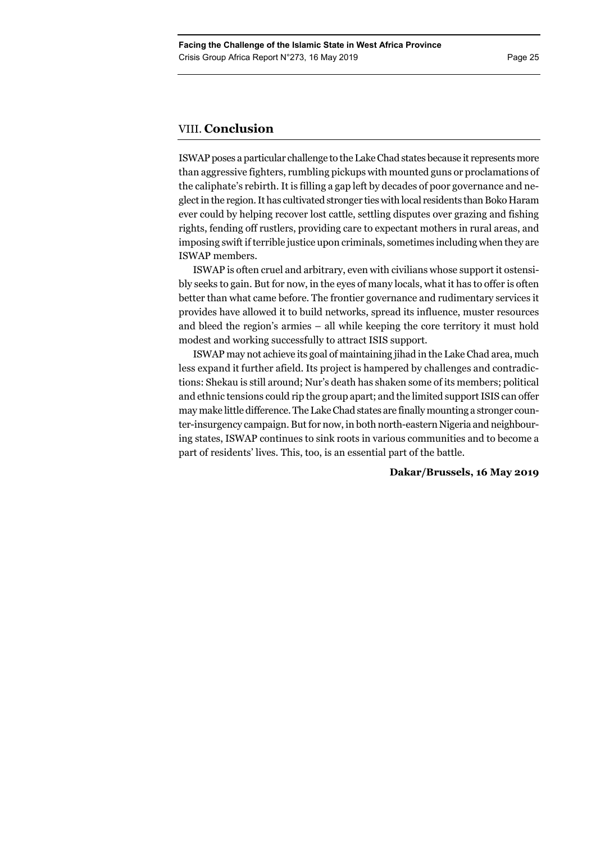# VIII. **Conclusion**

ISWAP poses a particular challenge to the Lake Chad states because it represents more than aggressive fighters, rumbling pickups with mounted guns or proclamations of the caliphate's rebirth. It is filling a gap left by decades of poor governance and neglect in the region. It has cultivated stronger ties with local residents than Boko Haram ever could by helping recover lost cattle, settling disputes over grazing and fishing rights, fending off rustlers, providing care to expectant mothers in rural areas, and imposing swift if terrible justice upon criminals, sometimes including when they are ISWAP members.

ISWAP is often cruel and arbitrary, even with civilians whose support it ostensibly seeks to gain. But for now, in the eyes of many locals, what it has to offer is often better than what came before. The frontier governance and rudimentary services it provides have allowed it to build networks, spread its influence, muster resources and bleed the region's armies – all while keeping the core territory it must hold modest and working successfully to attract ISIS support.

ISWAP may not achieve its goal of maintaining jihad in the Lake Chad area, much less expand it further afield. Its project is hampered by challenges and contradictions: Shekau is still around; Nur's death has shaken some of its members; political and ethnic tensions could rip the group apart; and the limited support ISIS can offer may make little difference. The Lake Chad states are finally mounting a stronger counter-insurgency campaign. But for now, in both north-eastern Nigeria and neighbouring states, ISWAP continues to sink roots in various communities and to become a part of residents' lives. This, too, is an essential part of the battle.

### **Dakar/Brussels, 16 May 2019**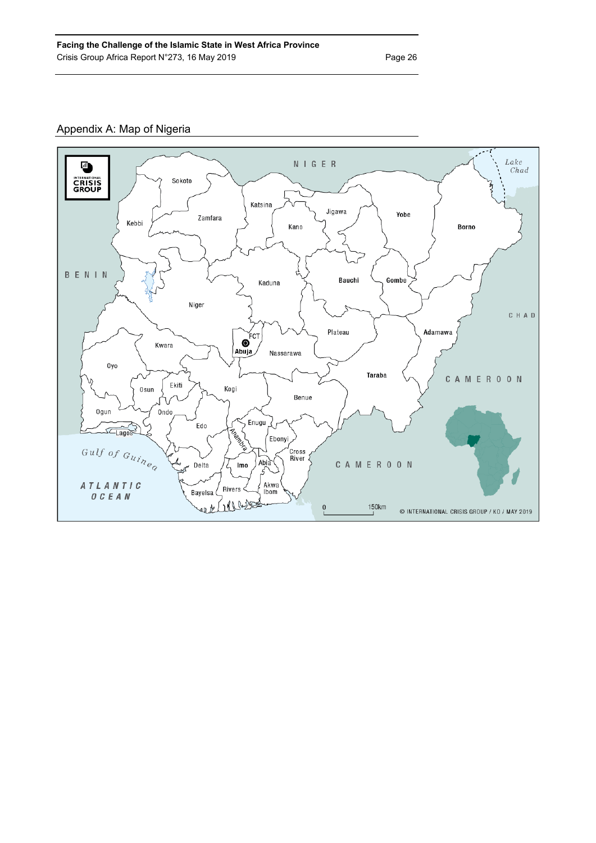# Appendix A: Map of Nigeria

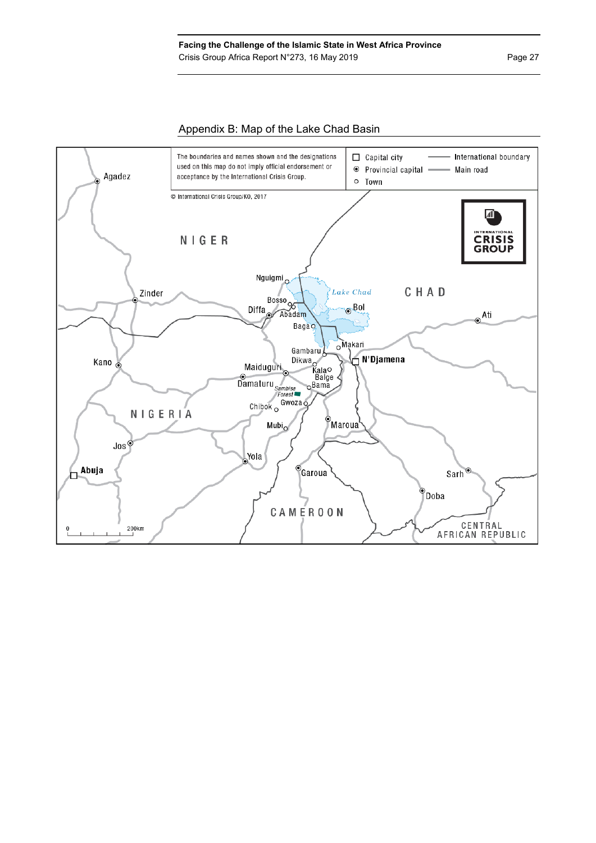# Appendix B: Map of the Lake Chad Basin

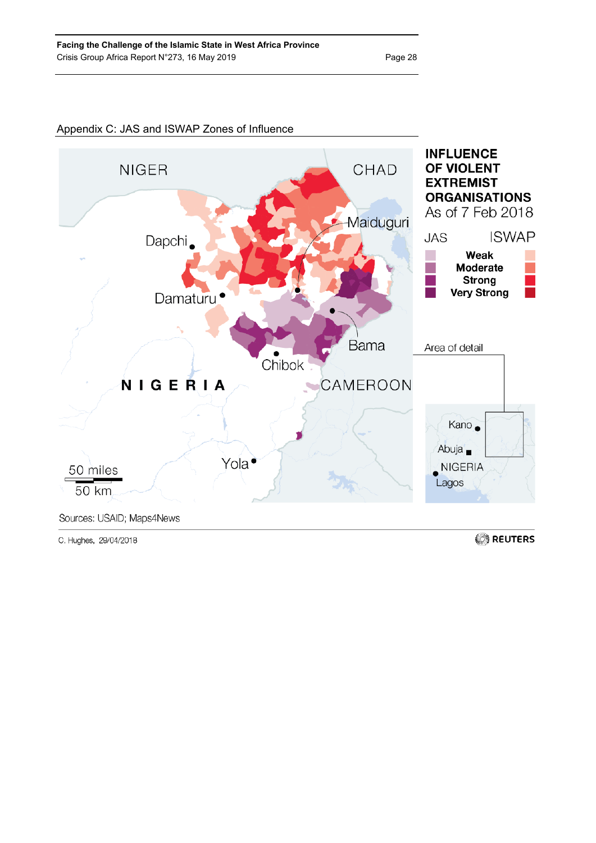

# Appendix C: JAS and ISWAP Zones of Influence

C. Hughes, 29/04/2018

REUTERS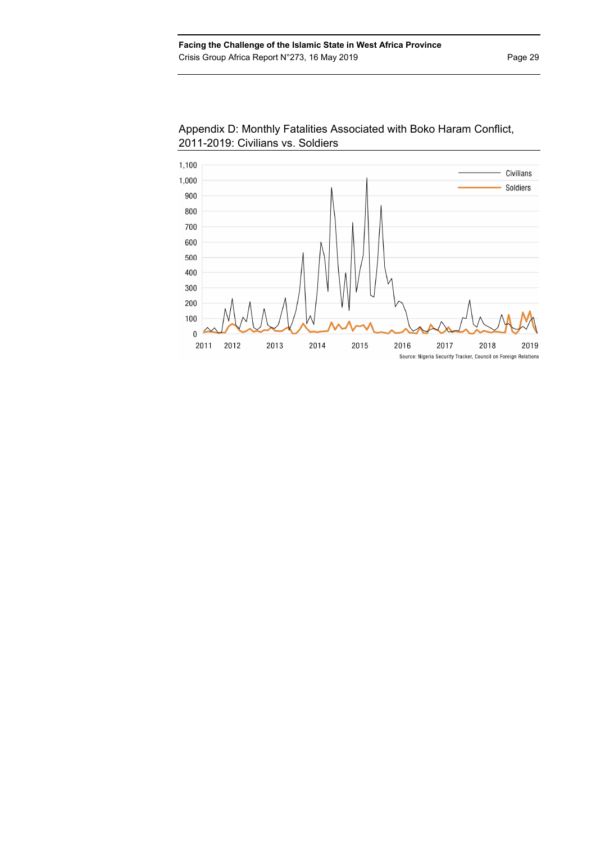

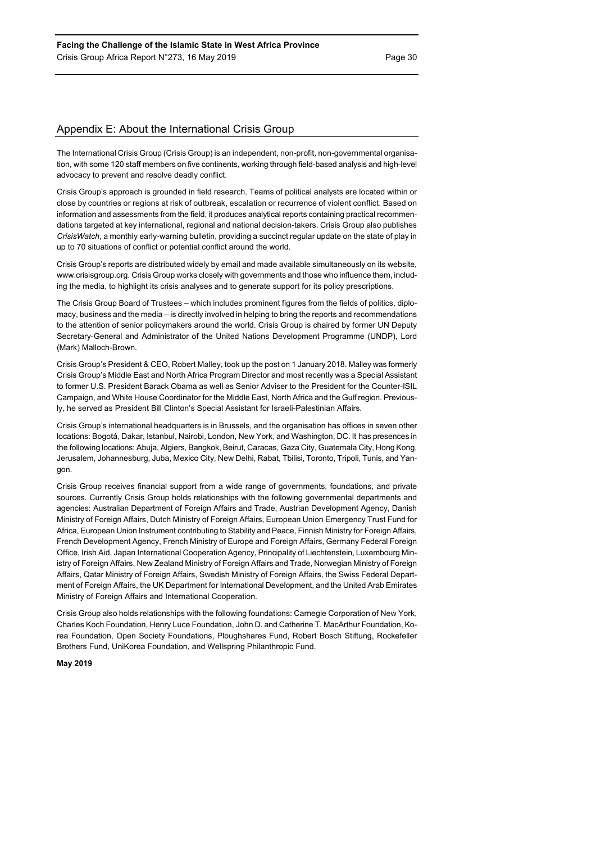# Appendix E: About the International Crisis Group

The International Crisis Group (Crisis Group) is an independent, non-profit, non-governmental organisation, with some 120 staff members on five continents, working through field-based analysis and high-level advocacy to prevent and resolve deadly conflict.

Crisis Group's approach is grounded in field research. Teams of political analysts are located within or close by countries or regions at risk of outbreak, escalation or recurrence of violent conflict. Based on information and assessments from the field, it produces analytical reports containing practical recommendations targeted at key international, regional and national decision-takers. Crisis Group also publishes *CrisisWatch*, a monthly early-warning bulletin, providing a succinct regular update on the state of play in up to 70 situations of conflict or potential conflict around the world.

Crisis Group's reports are distributed widely by email and made available simultaneously on its website, www.crisisgroup.org. Crisis Group works closely with governments and those who influence them, including the media, to highlight its crisis analyses and to generate support for its policy prescriptions.

The Crisis Group Board of Trustees – which includes prominent figures from the fields of politics, diplomacy, business and the media – is directly involved in helping to bring the reports and recommendations to the attention of senior policymakers around the world. Crisis Group is chaired by former UN Deputy Secretary-General and Administrator of the United Nations Development Programme (UNDP), Lord (Mark) Malloch-Brown.

Crisis Group's President & CEO, Robert Malley, took up the post on 1 January 2018. Malley was formerly Crisis Group's Middle East and North Africa Program Director and most recently was a Special Assistant to former U.S. President Barack Obama as well as Senior Adviser to the President for the Counter-ISIL Campaign, and White House Coordinator for the Middle East, North Africa and the Gulf region. Previously, he served as President Bill Clinton's Special Assistant for Israeli-Palestinian Affairs.

Crisis Group's international headquarters is in Brussels, and the organisation has offices in seven other locations: Bogotá, Dakar, Istanbul, Nairobi, London, New York, and Washington, DC. It has presences in the following locations: Abuja, Algiers, Bangkok, Beirut, Caracas, Gaza City, Guatemala City, Hong Kong, Jerusalem, Johannesburg, Juba, Mexico City, New Delhi, Rabat, Tbilisi, Toronto, Tripoli, Tunis, and Yangon.

Crisis Group receives financial support from a wide range of governments, foundations, and private sources. Currently Crisis Group holds relationships with the following governmental departments and agencies: Australian Department of Foreign Affairs and Trade, Austrian Development Agency, Danish Ministry of Foreign Affairs, Dutch Ministry of Foreign Affairs, European Union Emergency Trust Fund for Africa, European Union Instrument contributing to Stability and Peace, Finnish Ministry for Foreign Affairs, French Development Agency, French Ministry of Europe and Foreign Affairs, Germany Federal Foreign Office, Irish Aid, Japan International Cooperation Agency, Principality of Liechtenstein, Luxembourg Ministry of Foreign Affairs, New Zealand Ministry of Foreign Affairs and Trade, Norwegian Ministry of Foreign Affairs, Qatar Ministry of Foreign Affairs, Swedish Ministry of Foreign Affairs, the Swiss Federal Department of Foreign Affairs, the UK Department for International Development, and the United Arab Emirates Ministry of Foreign Affairs and International Cooperation.

Crisis Group also holds relationships with the following foundations: Carnegie Corporation of New York, Charles Koch Foundation, Henry Luce Foundation, John D. and Catherine T. MacArthur Foundation, Korea Foundation, Open Society Foundations, Ploughshares Fund, Robert Bosch Stiftung, Rockefeller Brothers Fund, UniKorea Foundation, and Wellspring Philanthropic Fund.

#### **May 2019**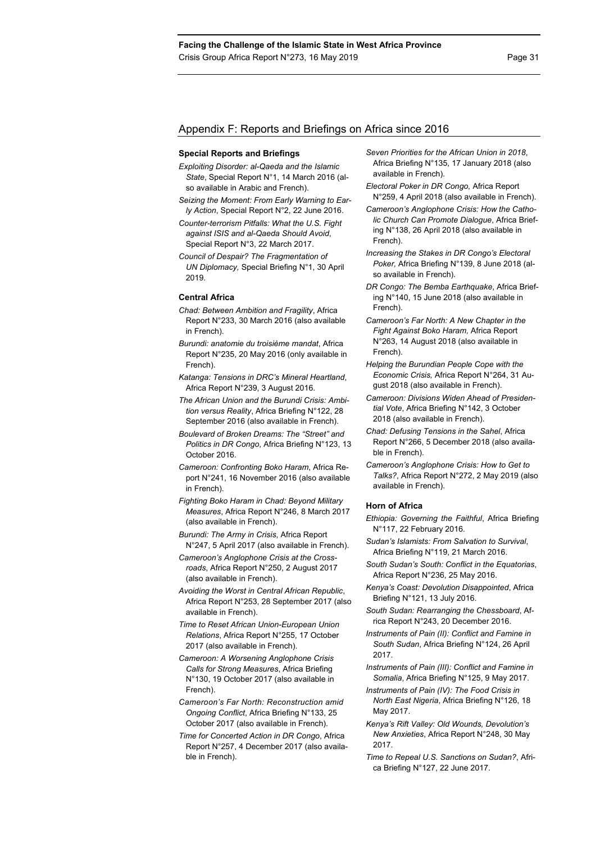### Appendix F: Reports and Briefings on Africa since 2016

#### **Special Reports and Briefings**

- *Exploiting Disorder: al-Qaeda and the Islamic State*, Special Report N°1, 14 March 2016 (also available in Arabic and French).
- *Seizing the Moment: From Early Warning to Early Action*, Special Report N°2, 22 June 2016.
- *Counter-terrorism Pitfalls: What the U.S. Fight against ISIS and al-Qaeda Should Avoid*, Special Report N°3, 22 March 2017.
- *Council of Despair? The Fragmentation of UN Diplomacy,* Special Briefing N°1, 30 April 2019.

#### **Central Africa**

- *Chad: Between Ambition and Fragility*, Africa Report N°233, 30 March 2016 (also available in French).
- *Burundi: anatomie du troisième mandat*, Africa Report N°235, 20 May 2016 (only available in French).
- *Katanga: Tensions in DRC's Mineral Heartland*, Africa Report N°239, 3 August 2016.
- *The African Union and the Burundi Crisis: Ambition versus Reality*, Africa Briefing N°122, 28 September 2016 (also available in French).
- *Boulevard of Broken Dreams: The "Street" and Politics in DR Congo*, Africa Briefing N°123, 13 October 2016.
- *Cameroon: Confronting Boko Haram*, Africa Report N°241, 16 November 2016 (also available in French).
- *Fighting Boko Haram in Chad: Beyond Military Measures*, Africa Report N°246, 8 March 2017 (also available in French).
- *Burundi: The Army in Crisis*, Africa Report N°247, 5 April 2017 (also available in French).
- *Cameroon's Anglophone Crisis at the Crossroads*, Africa Report N°250, 2 August 2017 (also available in French).
- *Avoiding the Worst in Central African Republic*, Africa Report N°253, 28 September 2017 (also available in French).
- *Time to Reset African Union-European Union Relations*, Africa Report N°255, 17 October 2017 (also available in French).
- *Cameroon: A Worsening Anglophone Crisis Calls for Strong Measures*, Africa Briefing N°130, 19 October 2017 (also available in French).
- *Cameroon's Far North: Reconstruction amid Ongoing Conflict*, Africa Briefing N°133, 25 October 2017 (also available in French).
- *Time for Concerted Action in DR Congo*, Africa Report N°257, 4 December 2017 (also available in French).
- *Seven Priorities for the African Union in 2018*, Africa Briefing N°135, 17 January 2018 (also available in French).
- *Electoral Poker in DR Congo,* Africa Report N°259, 4 April 2018 (also available in French).
- *Cameroon's Anglophone Crisis: How the Catholic Church Can Promote Dialogue*, Africa Briefing N°138, 26 April 2018 (also available in French).
- *Increasing the Stakes in DR Congo's Electoral Poker,* Africa Briefing N°139, 8 June 2018 (also available in French).
- *DR Congo: The Bemba Earthquake*, Africa Briefing N°140, 15 June 2018 (also available in French).
- *Cameroon's Far North: A New Chapter in the Fight Against Boko Haram,* Africa Report N°263, 14 August 2018 (also available in French).
- *Helping the Burundian People Cope with the Economic Crisis,* Africa Report N°264, 31 August 2018 (also available in French).
- *Cameroon: Divisions Widen Ahead of Presidential Vote*, Africa Briefing N°142, 3 October 2018 (also available in French).
- *Chad: Defusing Tensions in the Sahel*, Africa Report N°266, 5 December 2018 (also available in French).
- *Cameroon's Anglophone Crisis: How to Get to Talks?*, Africa Report N°272, 2 May 2019 (also available in French).

#### **Horn of Africa**

- *Ethiopia: Governing the Faithful*, Africa Briefing N°117, 22 February 2016.
- *Sudan's Islamists: From Salvation to Survival*, Africa Briefing N°119, 21 March 2016.
- *South Sudan's South: Conflict in the Equatorias*, Africa Report N°236, 25 May 2016.
- *Kenya's Coast: Devolution Disappointed*, Africa Briefing N°121, 13 July 2016.
- *South Sudan: Rearranging the Chessboard*, Africa Report N°243, 20 December 2016.
- *Instruments of Pain (II): Conflict and Famine in South Sudan*, Africa Briefing N°124, 26 April 2017.
- *Instruments of Pain (III): Conflict and Famine in Somalia*, Africa Briefing N°125, 9 May 2017.
- *Instruments of Pain (IV): The Food Crisis in North East Nigeria*, Africa Briefing N°126, 18 May 2017.
- *Kenya's Rift Valley: Old Wounds, Devolution's New Anxieties*, Africa Report N°248, 30 May 2017.
- *Time to Repeal U.S. Sanctions on Sudan?*, Africa Briefing N°127, 22 June 2017.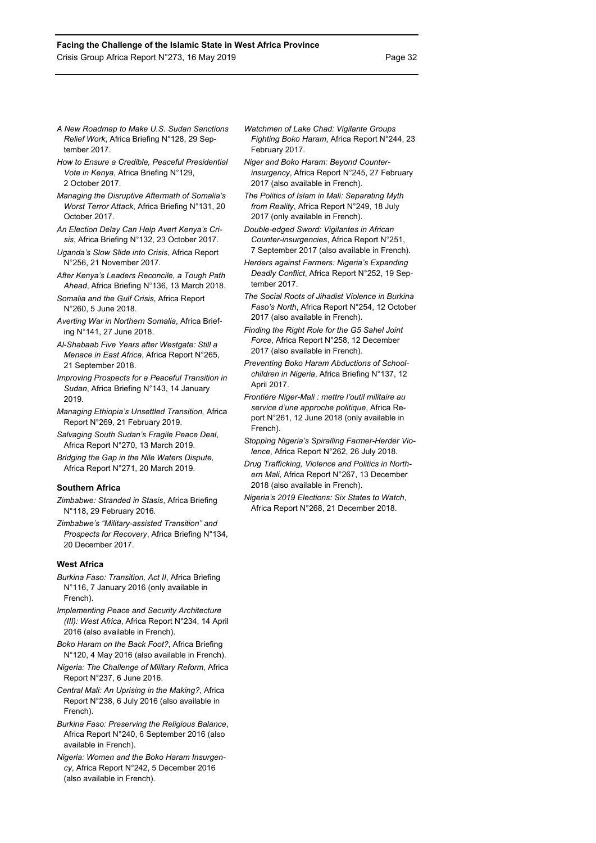- *A New Roadmap to Make U.S. Sudan Sanctions Relief Work*, Africa Briefing N°128, 29 September 2017.
- *How to Ensure a Credible, Peaceful Presidential Vote in Kenya*, Africa Briefing N°129, 2 October 2017.
- *Managing the Disruptive Aftermath of Somalia's Worst Terror Attack*, Africa Briefing N°131, 20 October 2017.
- *An Election Delay Can Help Avert Kenya's Crisis*, Africa Briefing N°132, 23 October 2017.
- *Uganda's Slow Slide into Crisis*, Africa Report N°256, 21 November 2017.
- *After Kenya's Leaders Reconcile, a Tough Path Ahead*, Africa Briefing N°136, 13 March 2018.
- *Somalia and the Gulf Crisis*, Africa Report N°260, 5 June 2018.
- *Averting War in Northern Somalia*, Africa Briefing N°141, 27 June 2018.
- *Al-Shabaab Five Years after Westgate: Still a Menace in East Africa*, Africa Report N°265, 21 September 2018.
- *Improving Prospects for a Peaceful Transition in Sudan*, Africa Briefing N°143, 14 January 2019.
- *Managing Ethiopia's Unsettled Transition,* Africa Report N°269, 21 February 2019.
- *Salvaging South Sudan's Fragile Peace Deal*, Africa Report N°270, 13 March 2019.
- *Bridging the Gap in the Nile Waters Dispute,*  Africa Report N°271, 20 March 2019.

#### **Southern Africa**

- *Zimbabwe: Stranded in Stasis*, Africa Briefing N°118, 29 February 2016*.*
- *Zimbabwe's "Military-assisted Transition" and Prospects for Recovery*, Africa Briefing N°134, 20 December 2017.

### **West Africa**

- *Burkina Faso: Transition, Act II*, Africa Briefing N°116, 7 January 2016 (only available in French).
- *Implementing Peace and Security Architecture (III): West Africa*, Africa Report N°234, 14 April 2016 (also available in French).
- *Boko Haram on the Back Foot?*, Africa Briefing N°120, 4 May 2016 (also available in French).
- *Nigeria: The Challenge of Military Reform*, Africa Report N°237, 6 June 2016.
- *Central Mali: An Uprising in the Making?*, Africa Report N°238, 6 July 2016 (also available in French).
- *Burkina Faso: Preserving the Religious Balance*, Africa Report N°240, 6 September 2016 (also available in French).
- *Nigeria: Women and the Boko Haram Insurgency*, Africa Report N°242, 5 December 2016 (also available in French).
- *Watchmen of Lake Chad: Vigilante Groups Fighting Boko Haram*, Africa Report N°244, 23 February 2017.
- *Niger and Boko Haram: Beyond Counterinsurgency*, Africa Report N°245, 27 February 2017 (also available in French).
- *The Politics of Islam in Mali: Separating Myth from Reality*, Africa Report N°249, 18 July 2017 (only available in French).
- *Double-edged Sword: Vigilantes in African Counter-insurgencies*, Africa Report N°251, 7 September 2017 (also available in French).
- *Herders against Farmers: Nigeria's Expanding Deadly Conflict*, Africa Report N°252, 19 September 2017.
- *The Social Roots of Jihadist Violence in Burkina Faso's North*, Africa Report N°254, 12 October 2017 (also available in French).
- *Finding the Right Role for the G5 Sahel Joint Force*, Africa Report N°258, 12 December 2017 (also available in French).
- *Preventing Boko Haram Abductions of Schoolchildren in Nigeria*, Africa Briefing N°137, 12 April 2017.
- *Frontière Niger-Mali : mettre l'outil militaire au service d'une approche politique*, Africa Report N°261, 12 June 2018 (only available in French).
- *Stopping Nigeria's Spiralling Farmer-Herder Violence*, Africa Report N°262, 26 July 2018.
- *Drug Trafficking, Violence and Politics in Northern Mali*, Africa Report N°267, 13 December 2018 (also available in French).
- *Nigeria's 2019 Elections: Six States to Watch*, Africa Report N°268, 21 December 2018.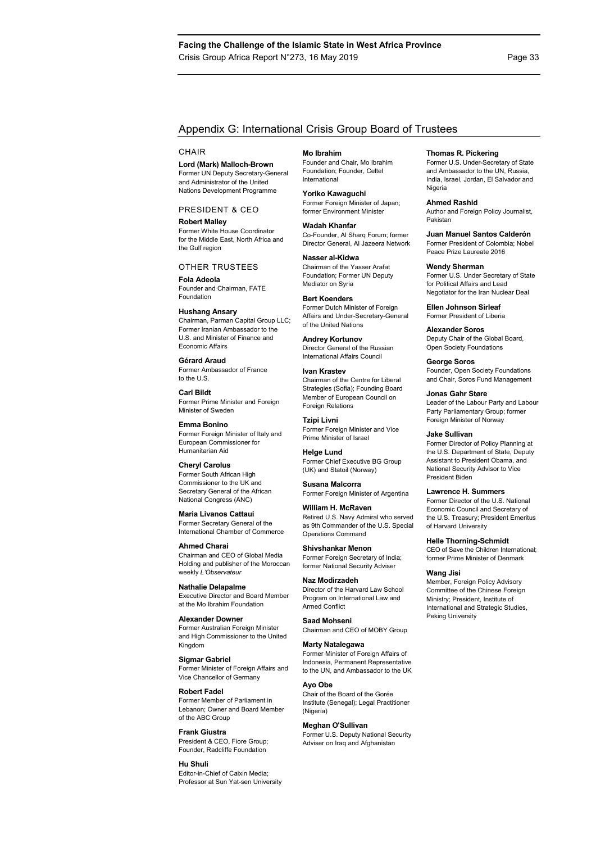## Appendix G: International Crisis Group Board of Trustees

#### **CHAIR**

**Lord (Mark) Malloch-Brown**  Former UN Deputy Secretary-General and Administrator of the United Nations Development Programme

PRESIDENT & CEO

**Robert Malley**  Former White House Coordinator for the Middle East, North Africa and the Gulf region

#### OTHER TRUSTEES

**Fola Adeola**  Founder and Chairman, FATE Foundation

**Hushang Ansary** 

Chairman, Parman Capital Group LLC; Former Iranian Ambassador to the U.S. and Minister of Finance and Economic Affairs

**Gérard Araud**  Former Ambassador of France to the U.S.

**Carl Bildt**  Former Prime Minister and Foreign Minister of Sweden

**Emma Bonino**  Former Foreign Minister of Italy and European Commissioner for Humanitarian Aid

**Cheryl Carolus**  Former South African High Commissioner to the UK and Secretary General of the African National Congress (ANC)

**Maria Livanos Cattaui**  Former Secretary General of the International Chamber of Commerce

**Ahmed Charai**  Chairman and CEO of Global Media Holding and publisher of the Moroccan weekly *L'Observateur*

**Nathalie Delapalme**  Executive Director and Board Member at the Mo Ibrahim Foundation

**Alexander Downer**  Former Australian Foreign Minister and High Commissioner to the United Kingdom

**Sigmar Gabriel**  Former Minister of Foreign Affairs and Vice Chancellor of Germany

**Robert Fadel**  Former Member of Parliament in Lebanon; Owner and Board Member of the ABC Group

**Frank Giustra**  President & CEO, Fiore Group; Founder, Radcliffe Foundation

#### **Hu Shuli**

Editor-in-Chief of Caixin Media; Professor at Sun Yat-sen University **Mo Ibrahim** 

Founder and Chair, Mo Ibrahim Foundation; Founder, Celtel International

**Yoriko Kawaguchi**  Former Foreign Minister of Japan; former Environment Minister

**Wadah Khanfar**  Co-Founder, Al Sharq Forum; former Director General, Al Jazeera Network

**Nasser al-Kidwa**  Chairman of the Yasser Arafat Foundation; Former UN Deputy Mediator on Syria

**Bert Koenders**  Former Dutch Minister of Foreign Affairs and Under-Secretary-General of the United Nations

**Andrey Kortunov**  Director General of the Russian International Affairs Council

**Ivan Krastev**  Chairman of the Centre for Liberal Strategies (Sofia); Founding Board Member of European Council on Foreign Relations

**Tzipi Livni**  Former Foreign Minister and Vice Prime Minister of Israel

**Helge Lund**  Former Chief Executive BG Group (UK) and Statoil (Norway)

**Susana Malcorra**  Former Foreign Minister of Argentina

**William H. McRaven**  Retired U.S. Navy Admiral who served as 9th Commander of the U.S. Special

Former Foreign Secretary of India;

Chairman and CEO of MOBY Group

**Marty Natalegawa**  Former Minister of Foreign Affairs of Indonesia, Permanent Representative to the UN, and Ambassador to the UK

Armed Conflict

Chair of the Board of the Gorée Institute (Senegal); Legal Practitioner (Nigeria)

#### **Meghan O'Sullivan**

Former U.S. Deputy National Security Adviser on Iraq and Afghanistan

#### **Thomas R. Pickering**

Former U.S. Under-Secretary of State and Ambassador to the UN, Russia, India, Israel, Jordan, El Salvador and Nigeria

#### **Ahmed Rashid**

Author and Foreign Policy Journalist, Pakistan

**Juan Manuel Santos Calderón** 

Former President of Colombia; Nobel Peace Prize Laureate 2016

#### **Wendy Sherman**

Former U.S. Under Secretary of State for Political Affairs and Lead Negotiator for the Iran Nuclear Deal

**Ellen Johnson Sirleaf**  Former President of Liberia

**Alexander Soros**  Deputy Chair of the Global Board, Open Society Foundations

**George Soros**  Founder, Open Society Foundations and Chair, Soros Fund Management

**Jonas Gahr Støre** 

Leader of the Labour Party and Labour Party Parliamentary Group; former Foreign Minister of Norway

#### **Jake Sullivan**

Former Director of Policy Planning at the U.S. Department of State, Deputy Assistant to President Obama, and National Security Advisor to Vice President Biden

#### **Lawrence H. Summers**

Former Director of the U.S. National Economic Council and Secretary of the U.S. Treasury; President Emeritus of Harvard University

#### **Helle Thorning-Schmidt**

CEO of Save the Children International; former Prime Minister of Denmark

#### **Wang Jisi**

Member, Foreign Policy Advisory Committee of the Chinese Foreign Ministry; President, Institute of International and Strategic Studies, Peking University

# Operations Command **Shivshankar Menon**  former National Security Adviser

**Naz Modirzadeh**  Director of the Harvard Law School Program on International Law and

# **Saad Mohseni**

#### **Ayo Obe**